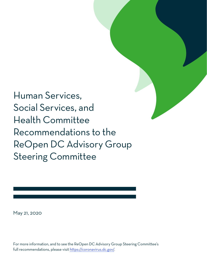Human Services, Social Services, and Health Committee Recommendations to the ReOpen DC Advisory Group Steering Committee

May 21, 2020

For more information, and to see the ReOpen DC Advisory Group Steering Committee's full recommendations, please visit https://coronavirus.dc.gov/.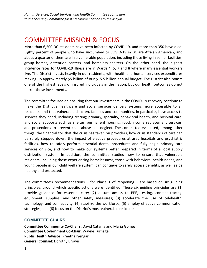# COMMITTEE MISSION & FOCUS

More than 6,500 DC residents have been infected by COVID-19, and more than 350 have died. Eighty percent of people who have succumbed to COVID-19 in DC are African American, and about a quarter of them are in a vulnerable population, including those living in senior facilities, group homes, detention centers, and homeless shelters. On the other hand, the highest incidence rates for COVID-19 illness are in Wards 4, 5, 7 and 8 where many essential workers live. The District invests heavily in our residents, with health and human services expenditures making up approximately \$5 billion of our \$15.5 billion annual budget. The District also boasts one of the highest levels of insured individuals in the nation, but our health outcomes do not mirror these investments.

The committee focused on ensuring that our investments in the COVID-19 recovery continue to make the District's healthcare and social services delivery systems more accessible to all residents, and that vulnerable children, families and communities, in particular, have access to services they need, including testing; primary, specialty, behavioral health, and hospital care; and social supports such as shelter, permanent housing, food, income replacement services, and protections to prevent child abuse and neglect. The committee evaluated, among other things, the financial toll that the crisis has taken on providers, how crisis standards of care can be safely stepped down, the impact of elective procedures at area hospitals and psychiatric facilities, how to safely perform essential dental procedures and fully begin primary care services on site, and how to make our systems better prepared in terms of a local supply distribution system. In addition, the committee studied how to ensure that vulnerable residents, including those experiencing homelessness, those with behavioral health needs, and young people in our child welfare system, can continue to safely access benefits, as well as be healthy and protected.

The committee's recommendations  $-$  for Phase 1 of reopening  $-$  are based on six guiding principles, around which specific actions were identified. These six guiding principles are (1) provide guidance for essential care; (2) ensure access to PPE, testing, contact tracing, equipment, supplies, and other safety measures; (3) accelerate the use of telehealth, technology, and connectivity; (4) stabilize the workforce; (5) employ effective communication strategies; and (6) focus on the District's most vulnerable residents.

# **COMMITTEE CHAIRS**

**Committee Community Co-Chairs:** David Catania and Maria Gomez **Committee Government Co-Chair:** Wayne Turnage **Public Health Advisor:** Preetha Iyengar **General Counsel:** Dorothy Brown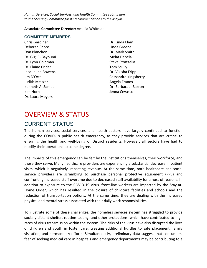#### **Associate Committee Director:** Amelia Whitman

### **COMMITTEE MEMBERS**

Chris Gardiner Deborah Shore Don Blanchon Dr. Gigi El-Bayoumi Dr. Lynn Goldman Dr. Elaine Crider Jacqueline Bowens Jim D'Orta Judith Meltzer Kenneth A. Samet Kim Horn Dr. Laura Meyers

Dr. Linda Elam Linda Greene Dr. Mark Smith Melat Debela Steve Strazzella Tom Scully Dr. Vikisha Fripp Cassandra Kingsberry Angela Franco Dr. Barbara J. Bazron Jenna Cevasco

# OVERVIEW & STATUS

# CURRENT STATUS

The human services, social services, and health sectors have largely continued to function during the COVID-19 public health emergency, as they provide services that are critical to ensuring the health and well-being of District residents. However, all sectors have had to modify their operations to some degree.

The impacts of this emergency can be felt by the institutions themselves, their workforce, and those they serve. Many healthcare providers are experiencing a substantial decrease in patient visits, which is negatively impacting revenue. At the same time, both healthcare and social service providers are scrambling to purchase personal protective equipment (PPE) and confronting increased staff overtime due to decreased staff availability for a host of reasons. In addition to exposure to the COVID-19 virus, front-line workers are impacted by the Stay-at-Home Order, which has resulted in the closure of childcare facilities and schools and the reduction of transportation options. At the same time, they are dealing with the increased physical and mental stress associated with their daily work responsibilities.

To illustrate some of these challenges, the homeless services system has struggled to provide socially distant shelter, routine testing, and other protections, which have contributed to high rates of virus transmission within the system. The risks of the virus have also disrupted the lives of children and youth in foster care, creating additional hurdles to safe placement, family visitation, and permanency efforts. Simultaneously, preliminary data suggest that consumers' fear of seeking medical care in hospitals and emergency departments may be contributing to a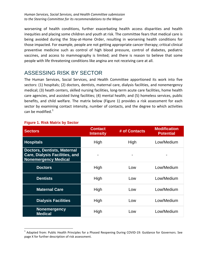worsening of health conditions, further exacerbating health access disparities and health inequities and placing some children and youth at risk. The committee fears that medical care is being avoided during the Stay-at-Home Order, resulting in worsening health conditions for those impacted. For example, people are not getting appropriate cancer therapy; critical clinical preventive medicine such as control of high blood pressure, control of diabetes, pediatric vaccines, and access to mammography is limited; and there is reason to believe that some people with life threatening conditions like angina are not receiving care at all.

# ASSESSING RISK BY SECTOR

The Human Services, Social Services, and Health Committee apportioned its work into five sectors: (1) hospitals; (2) doctors, dentists, maternal care, dialysis facilities, and nonemergency medical; (3) heath centers, skilled nursing facilities, long-term acute care facilities, home health care agencies, and assisted living facilities; (4) mental health; and (5) homeless services, public benefits, and child welfare. The matrix below (Figure 1) provides a risk assessment for each sector by examining contact intensity, number of contacts, and the degree to which activities can be modified. $<sup>1</sup>$  $<sup>1</sup>$  $<sup>1</sup>$ </sup>

| <b>Sectors</b>                                                                                             | <b>Contact</b><br><b>Intensity</b> | # of Contacts | <b>Modification</b><br><b>Potential</b> |
|------------------------------------------------------------------------------------------------------------|------------------------------------|---------------|-----------------------------------------|
| <b>Hospitals</b>                                                                                           | High                               | High          | Low/Medium                              |
| <b>Doctors, Dentists, Maternal</b><br><b>Care, Dialysis Facilities, and</b><br><b>Nonemergency Medical</b> |                                    |               |                                         |
| <b>Doctors</b>                                                                                             | High                               | Low           | Low/Medium                              |
| <b>Dentists</b>                                                                                            | High                               | Low           | Low/Medium                              |
| <b>Maternal Care</b>                                                                                       | High                               | Low           | Low/Medium                              |
| <b>Dialysis Facilities</b>                                                                                 | High                               | Low           | Low/Medium                              |
| <b>Nonemergency</b><br><b>Medical</b>                                                                      | High                               | Low           | Low/Medium                              |

# **Figure 1. Risk Matrix by Sector**

<span id="page-3-0"></span><sup>&</sup>lt;sup>1</sup> Adapted from: Public Health Principles for a Phased Reopening During COVID-19: Guidance for Governors. See page X for further description of risk assessment.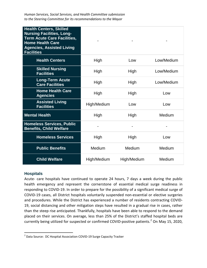| <b>Health Centers, Skilled</b><br><b>Nursing Facilities, Long-</b><br><b>Term Acute Care Facilities,</b><br><b>Home Health Care</b><br><b>Agencies, Assisted Living</b><br><b>Facilities</b> |             |             |            |
|----------------------------------------------------------------------------------------------------------------------------------------------------------------------------------------------|-------------|-------------|------------|
| <b>Health Centers</b>                                                                                                                                                                        | High        | Low         | Low/Medium |
| <b>Skilled Nursing</b><br><b>Facilities</b>                                                                                                                                                  | High        | High        | Low/Medium |
| <b>Long-Term Acute</b><br><b>Care Facilities</b>                                                                                                                                             | High        | High        | Low/Medium |
| <b>Home Health Care</b><br><b>Agencies</b>                                                                                                                                                   | High        | High        | Low        |
| <b>Assisted Living</b><br><b>Facilities</b>                                                                                                                                                  | High/Medium | Low         | Low        |
| <b>Mental Health</b>                                                                                                                                                                         | High        | High        | Medium     |
| <b>Homeless Services, Public</b><br><b>Benefits, Child Welfare</b>                                                                                                                           |             |             |            |
| <b>Homeless Services</b>                                                                                                                                                                     | High        | High        | Low        |
| <b>Public Benefits</b>                                                                                                                                                                       | Medium      | Medium      | Medium     |
| <b>Child Welfare</b>                                                                                                                                                                         | High/Medium | High/Medium | Medium     |

#### **Hospitals**

Acute- care hospitals have continued to operate 24 hours, 7 days a week during the public health emergency and represent the cornerstone of essential medical surge readiness in responding to COVID-19. In order to prepare for the possibility of a significant medical surge of COVID-19 cases, all District hospitals voluntarily suspended non-essential or elective surgeries and procedures. While the District has experienced a number of residents contracting COVID-19, social distancing and other mitigation steps have resulted in a gradual rise in cases, rather than the steep rise anticipated. Thankfully, hospitals have been able to respond to the demand placed on their services. On average, less than 25% of the District's staffed hospital beds are currently being utilized for suspected or confirmed COVID-positive patients.<sup>[2](#page-4-0)</sup> On May 15, 2020,

<span id="page-4-0"></span> <sup>2</sup> Data Source: DC Hospital Association COVID-19 Surge Capacity Tracker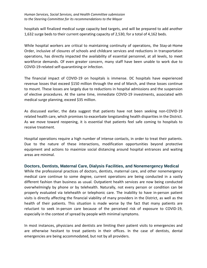hospitals will finalized medical surge capacity bed targets, and will be prepared to add another 1,632 surge beds to their current operating capacity of 2,530, for a total of 4,162 beds.

While hospital workers are critical to maintaining continuity of operations, the Stay-at-Home Order, inclusive of closures of schools and childcare services and reductions in transportation operations, has directly impacted the availability of essential personnel, at all levels, to meet workforce demands. Of even greater concern, many staff have been unable to work due to COVID-19-related self-quarantining or infection.

The financial impact of COVID-19 on hospitals is immense. DC hospitals have experienced revenue losses that exceed \$150 million through the end of March, and these losses continue to mount. These losses are largely due to reductions in hospital admissions and the suspension of elective procedures. At the same time, immediate COVID-19 investments, associated with medical surge planning, exceed \$35 million.

As discussed earlier, the data suggest that patients have not been seeking non-COVID-19 related health care, which promises to exacerbate longstanding health disparities in the District. As we move toward reopening, it is essential that patients feel safe coming to hospitals to receive treatment.

Hospital operations require a high number of intense contacts, in order to treat their patients. Due to the nature of these interactions, modification opportunities beyond protective equipment and actions to maximize social distancing around hospital entrances and waiting areas are minimal.

# **Doctors, Dentists, Maternal Care, Dialysis Facilities, and Nonemergency Medical**

While the professional practices of doctors, dentists, maternal care, and other nonemergency medical care continue to some degree, current operations are being conducted in a vastly different fashion than business as usual. Outpatient health services are now being conducted overwhelmingly by phone or by telehealth. Naturally, not every person or condition can be properly evaluated via telehealth or telephonic care. The inability to have in-person patient visits is directly affecting the financial viability of many providers in the District, as well as the health of their patients. This situation is made worse by the fact that many patients are reluctant to seek in-person care because of the perceived risk of exposure to COVID-19, especially in the context of spread by people with minimal symptoms.

In most instances, physicians and dentists are limiting their patient visits to emergencies and are otherwise hesitant to treat patients in their offices. In the case of dentists, dental emergencies are being accommodated, but not by all providers.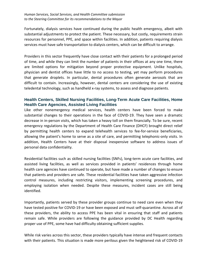Fortunately, dialysis services have continued during the public health emergency, albeit with substantial adjustments to protect the patient. These necessary, but costly, requirements strain resources for personnel, PPE, and space within facilities. In addition, patients requiring dialysis services must have safe transportation to dialysis centers, which can be difficult to arrange.

Providers in this sector frequently have close contact with their patients for a prolonged period of time, and while they can limit the number of patients in their offices at any one time, there are limited options for mitigation beyond proper protective equipment. Unlike hospitals, physician and dentist offices have little to no access to testing, yet may perform procedures that generate droplets. In particular, dental procedures often generate aerosols that are difficult to contain. Increasingly, however, dental centers are considering the use of existing teledental technology, such as handheld x-ray systems, to assess and diagnose patients.

# **Health Centers, Skilled Nursing Facilities, Long-Term Acute Care Facilities, Home Health Care Agencies, Assisted Living Facilities**

Like other nonemergency medical services, health centers have been forced to make substantial changes to their operations in the face of COVID-19. They have seen a dramatic decrease in in-person visits, which has taken a heavy toll on them financially. To be sure, recent emergency regulations by the Department of Health Care Finance (DHCF) brought direct relief by permitting health centers to expand telehealth services to fee-for-service beneficiaries, allowing the patient's home to serve as a site of care, and permitting telephonic-only visits. In addition, Health Centers have at their disposal inexpensive software to address issues of personal data confidentiality.

Residential facilities such as skilled nursing facilities (SNFs), long-term acute care facilities, and assisted living facilities, as well as services provided in patients' residences through home health care agencies have continued to operate, but have made a number of changes to ensure that patients and providers are safe. These residential facilities have taken aggressive infection control measures, including restricting visitors, implementing screening procedures, and employing isolation when needed. Despite these measures, incident cases are still being identified.

Importantly, patients served by these provider groups continue to need care even when they have tested positive for COVID-19 or have been exposed and must self-quarantine. Across all of these providers, the ability to access PPE has been vital in ensuring that staff and patients remain safe. While providers are following the guidance provided by DC Health regarding proper use of PPE, some have had difficulty obtaining sufficient supplies.

While risk varies across this sector, these providers typically have intense and frequent contacts with their patients. This situation is made more perilous given the heightened risk of COVID-19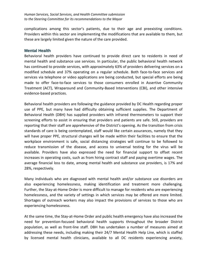complications among this sector's patients, due to their age and preexisting conditions. Providers within this sector are implementing the modifications that are available to them, but these are largely limited given the nature of the care provided.

#### **Mental Health**

Behavioral health providers have continued to provide direct care to residents in need of mental health and substance use services. In particular, the public behavioral health network has continued to provide services, with approximately 63% of providers delivering services on a modified schedule and 37% operating on a regular schedule. Both face-to-face services and services via telephone or video applications are being conducted, but special efforts are being made to offer face-to-face services to those consumers enrolled in Assertive Community Treatment (ACT), Wraparound and Community-Based Interventions (CBI), and other intensive evidence-based practices.

Behavioral health providers are following the guidance provided by DC Health regarding proper use of PPE, but many have had difficulty obtaining sufficient supplies. The Department of Behavioral Health (DBH) has supplied providers with infrared thermometers to support their screening efforts to assist in ensuring that providers and patients are safe. Still, providers are reporting that their staff are apprehensive of the District's opening. As the transition from crisis standards of care is being contemplated, staff would like certain assurances, namely that they will have proper PPE, structural changes will be made within their facilities to ensure that the workplace environment is safe, social distancing strategies will continue to be followed to reduce transmission of the disease, and access to universal testing for the virus will be available. Providers have also expressed the need for financial support to offset recent increases in operating costs, such as from hiring contract staff and paying overtime wages. The average financial loss to date, among mental health and substance use providers, is 17% and 28%, respectively.

Many individuals who are diagnosed with mental health and/or substance use disorders are also experiencing homelessness, making identification and treatment more challenging. Further, the Stay-at-Home Order is more difficult to manage for residents who are experiencing homelessness, and the variety of settings in which services may be offered are more limited. Shortages of outreach workers may also impact the provisions of services to those who are experiencing homelessness.

At the same time, the Stay-at-Home Order and public health emergency have also increased the need for prevention-focused behavioral health supports throughout the broader District population, as well as front-line staff. DBH has undertaken a number of measures aimed at addressing these needs, including making their 24/7 Mental Health Help Line, which is staffed by licensed mental health clinicians, available to all DC residents experiencing anxiety,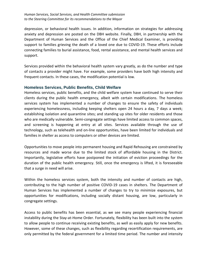depression, or behavioral health issues. In addition, information on strategies for addressing anxiety and depression are posted on the DBH website. Finally, DBH, in partnership with the Department of Human Services and the Office of the Chief Medical Examiner, is providing support to families grieving the death of a loved one due to COVID-19. These efforts include connecting families to burial assistance, food, rental assistance, and mental health services and support.

Services provided within the behavioral health system vary greatly, as do the number and type of contacts a provider might have. For example, some providers have both high intensity and frequent contacts. In these cases, the modification potential is low.

# **Homeless Services, Public Benefits, Child Welfare**

Homeless services, public benefits, and the child welfare system have continued to serve their clients during the public health emergency, albeit with certain modifications. The homeless services system has implemented a number of changes to ensure the safety of individuals experiencing homelessness, including keeping shelters open 24 hours a day, 7 days a week; establishing isolation and quarantine sites; and standing up sites for older residents and those who are medically vulnerable. Semi-congregate settings have limited access to common spaces, and screening is happening at entry at all sites. Services available through the use of technology, such as telehealth and on-line opportunities, have been limited for individuals and families in shelter as access to computers or other devices are limited.

Opportunities to move people into permanent housing and Rapid Rehousing are constrained by resources and made worse due to the limited stock of affordable housing in the District. Importantly, legislative efforts have postponed the initiation of eviction proceedings for the duration of the public health emergency. Still, once the emergency is lifted, it is foreseeable that a surge in need will arise.

Within the homeless services system, both the intensity and number of contacts are high, contributing to the high number of positive COVID-19 cases in shelters. The Department of Human Services has implemented a number of changes to try to minimize exposures, but opportunities for modifications, including socially distant housing, are low, particularly in congregate settings.

Access to public benefits has been essential, as we see many people experiencing financial instability during the Stay-at-Home Order. Fortunately, flexibility has been built into the system to allow people to continue receiving existing benefits, as well as easily apply for new benefits. However, some of these changes, such as flexibility regarding recertification requirements, are only permitted by the federal government for a limited time period. The number and intensity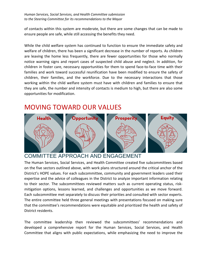of contacts within this system are moderate, but there are some changes that can be made to ensure people are safe, while still accessing the benefits they need.

While the child welfare system has continued to function to ensure the immediate safety and welfare of children, there has been a significant decrease in the number of reports. As children are leaving the home less frequently, there are fewer opportunities for those who normally notice warning signs and report cases of suspected child abuse and neglect. In addition, for children in foster care, necessary opportunities for them to spend face-to-face time with their families and work toward successful reunification have been modified to ensure the safety of children, their families, and the workforce. Due to the necessary interactions that those working within the child welfare system must have with children and families to ensure that they are safe, the number and intensity of contacts is medium to high, but there are also some opportunities for modification.

# MOVING TOWARD OUR VALUES



# COMMITTEE APPROACH AND ENGAGEMENT

The Human Services, Social Services, and Health Committee created five subcommittees based on the five sectors outlined above, with work plans structured around the critical anchor of the District's HOPE values. For each subcommittee, community and government leaders used their expertise and the advice of colleagues in the District to analyze important information relating to their sector. The subcommittees reviewed matters such as current operating status, riskmitigation options, lessons learned, and challenges and opportunities as we move forward. Each subcommittee met separately to discuss their priorities and consulted with sector experts. The entire committee held three general meetings with presentations focused on making sure that the committee's recommendations were equitable and prioritized the health and safety of District residents.

The committee leadership then reviewed the subcommittees' recommendations and developed a comprehensive report for the Human Services, Social Services, and Health Committee that aligns with public expectations, while emphasizing the need to improve the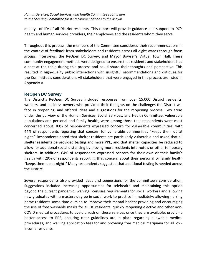quality –of life of all District residents. This report will provide guidance and support to DC's health and human services providers, their employees and the residents whom they serve.

Throughout this process, the members of the Committee considered their recommendations in the context of feedback from stakeholders and residents across all eight wards through focus groups, interviews, the ReOpen DC Survey, and Mayor Bowser's Virtual Town Hall. These community engagement methods were designed to ensure that residents and stakeholders had a seat at the table during this process and could share their thoughts and perspective. This resulted in high-quality public interactions with insightful recommendations and critiques for the Committee's consideration. All stakeholders that were engaged in this process are listed in Appendix A.

# **ReOpen DC Survey**

The District's ReOpen DC Survey included responses from over 15,000 District residents, workers, and business owners who provided their thoughts on the challenges the District will face in reopening, and offered ideas and suggestions for the reopening process. Two areas under the purview of the Human Services, Social Services, and Health Committee, vulnerable populations and personal and family health, were among those that respondents were most concerned about. 83% of respondents expressed concern for vulnerable communities, with 44% of respondents reporting that concern for vulnerable communities "keeps them up at night." Respondents noted that shelter residents are particularly vulnerable and asked that all shelter residents be provided testing and more PPE, and that shelter capacities be reduced to allow for additional social distancing by moving more residents into hotels or other temporary shelters. In addition, 64% of respondents expressed concern for their own or their family's health with 29% of respondents reporting that concern about their personal or family health "keeps them up at night." Many respondents suggested that additional testing is needed across the District.

Several respondents also provided ideas and suggestions for the committee's consideration. Suggestions included increasing opportunities for telehealth and maintaining this option beyond the current pandemic; waiving licensure requirements for social workers and allowing new graduates with a masters degree in social work to practice immediately; allowing nursing home residents some time outside to improve their mental health; providing and encouraging the use of free washable masks for all DC residents; quickly reopening elective and other non-COVID medical procedures to avoid a rush on these services once they are available; providing better access to PPE; ensuring clear guidelines are in place regarding allowable medical procedures; and waiving application fees for and providing free medical marijuana for all lowincome residents.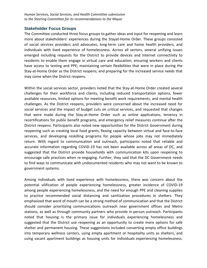#### **Stakeholder Focus Groups**

The Committee conducted three focus groups to gather ideas and input for reopening and learn more about stakeholders' experiences during the Stayat-Home Order. These groups consisted of social services providers and advocates, long-term care and home health providers, and individuals with lived experience of homelessness. Across all sectors, several unifying issues emerged including requests for the District to provide devices and internet connectivity to residents to enable them engage in virtual care and education; ensuring workers and clients have access to testing and PPE; maintaining certain flexibilities that were in place during the Stay-at-Home Order as the District reopens; and preparing for the increased service needs that may come when the District reopens.

Within the social services sector, providers noted that the Stay-at-Home Order created several challenges for their workforce and clients, including reduced transportation options, fewer available resources, limited options for meeting benefit work requirements, and mental health challenges. As the District reopens, providers were concerned about the increased need for social services and the impact of budget cuts on critical services, and requested that changes that were made during the Stay-at-Home Order such as online applications, leniency in recertifications for public benefit programs, and emergency relief measures continue after the District reopens. Participants also noted new opportunities for the District Government during reopening such as creating local food grants, flexing capacity between virtual and face-to-face services, and developing reskilling programs for people whose jobs may not immediately return. With regard to communication and outreach, participants noted that reliable and accurate information regarding COVID-19 has not been available across all areas of DC, and suggested that the District provide households with communication kits upon reopening to encourage safe practices when re-engaging. Further, they said that the DC Government needs to find ways to communicate with undocumented residents who may not want to be known to government systems.

Among individuals with lived experience with homelessness, there was concern about the potential vilification of people experiencing homelessness, greater incidence of COVID-19 among people experiencing homelessness, and the need for enough PPE and cleaning supplies to practice recommended social distancing and sanitization procedures in shelters. They emphasized that word of mouth can be a strong method of communication and that the District should consider prioritizing communications outreach near government offices and Metro stations, as well as through community partners who provide in-person outreach. Participants noted that housing is the primary issue for individuals experiencing homelessness and suggested that the District use reopening as an opportunity to create more options for safe shelter and permanent housing. These suggestions included converting empty office buildings into temporary wellness centers, using empty apartment or hospitality units as shelters, and using vacant apartment buildings as housing units for individuals experiencing homelessness.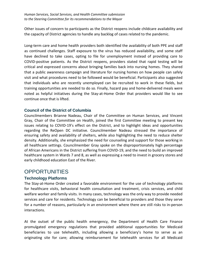Other issues of concern to participants as the District reopens include childcare availability and the capacity of District agencies to handle any backlog of cases related to the pandemic.

Long-term care and home health providers both identified the availability of both PPE and staff as continued challenges. Staff exposure to the virus has reduced availability, and some staff have declined to take cases, opting to file for unemployment instead of providing care to COVID-positive patients. As the District reopens, providers stated that rapid testing will be critical and expressed concerns about bringing families back into nursing homes. They shared that a public awareness campaign and literature for nursing homes on how people can safely visit and what procedures need to be followed would be beneficial. Participants also suggested that individuals who are recently unemployed can be recruited to work in these fields, but training opportunities are needed to do so. Finally, hazard pay and home-delivered meals were noted as helpful initiatives during the Stay-at-Home Order that providers would like to see continue once that is lifted.

# **Council of the District of Columbia**

Councilmembers Brianne Nadeau, Chair of the Committee on Human Services, and Vincent Gray, Chair of the Committee on Health, joined the first Committee meeting to present key issues relating to COVID-19's effect on the District, and to highlight ideas and opportunities regarding the ReOpen DC initiative. Councilmember Nadeau stressed the importance of ensuring safety and availability of shelters, while also highlighting the need to reduce shelter density. Additionally, she emphasized the need for counseling and support for those working in all healthcare settings. Councilmember Gray spoke on the disproportionately high percentage of African Americans in the District suffering from COVID-19, and the need to build an improved healthcare system in Wards 7 and 8, as well as expressing a need to invest in grocery stores and early childhood education East of the River.

# **OPPORTUNITIES**

# **Technology Platforms**

The Stay-at-Home Order created a favorable environment for the use of technology platforms for healthcare visits, behavioral health consultation and treatment, crisis services, and child welfare worker and family visits. In many cases, technology was the only way to provide needed services and care for residents. Technology can be beneficial to providers and those they serve for a number of reasons, particularly in an environment where there are still risks to in-person interactions.

At the outset of the public health emergency, the Department of Health Care Finance promulgated emergency regulations that provided additional opportunities for Medicaid beneficiaries to use telehealth, including allowing a beneficiary's home to serve as an originating site for care; allowing reimbursement for telehealth services for all Medicaid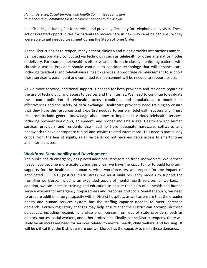beneficiaries, including fee-for-service; and providing flexibility for telephonic-only visits. These actions created opportunities for patients to receive care in new ways and helped ensure they were able to get needed treatment during the Stay-at-Home Order.

As the District begins to reopen, many patient-clinician and client-provider interactions may still be most appropriately conducted via technology such as telehealth or other alternative modes of delivery. For example, telehealth is effective and efficient in closely monitoring patients with chronic diseases. Providers should continue to consider technology that will enhance care, including teledental and telebehavioral health services. Appropriate reimbursement to support these services is paramount and continued reimbursement will be needed to support its use.

As we move forward, additional support is needed for both providers and residents regarding the use of technology, and access to devices and the internet. We need to continue to evaluate the broad application of telehealth, across conditions and populations, to monitor its effectiveness and the safety of data exchange. Healthcare providers need training to ensure that they have the resources and expertise needed to perform telehealth successfully. These resources include general knowledge about how to implement various telehealth services, including provider workflows, equipment, and proper and safe usage. Healthcare and human services providers and residents also need to have adequate hardware, software, and bandwidth to have appropriate clinical and service-related interactions. This need is particularly critical from the lens of equity, as all residents do not have equitable access to smartphones and internet access.

#### **Workforce Sustainability and Development**

The public health emergency has placed additional stressors on front-line workers. While these needs have become more acute during this crisis, we have the opportunity to build long-term supports for the health and human services workforce. As we prepare for the impact of anticipated COVID-19 post-traumatic stress, we must build resiliency models to support the front-line workforce, including an expanded supply of mental health services for workers. In addition, we can increase training and education to ensure readiness of all health and human service workers for emergency preparedness and response protocols. Simultaneously, we need to prepare additional surge capacity within District hospitals, as well as ensure that the broader health and human services system has the staffing capacity needed to meet increased demands. Certain regulatory changes may help ensure that the District can accomplish these objectives, including recognizing professional licenses from out of state providers, such as doctors, nurses, social workers, and other professions. Finally, as the District reopens, there will likely be an increased need for services related to mental health, child welfare, and housing. It will be critical that the District ensure our workforce has the capacity to meet these demands.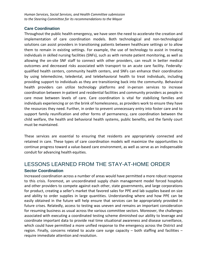### **Care Coordination**

Throughout the public health emergency, we have seen the need to accelerate the creation and implementation of care coordination models. Both technological and non-technological solutions can assist providers in transitioning patients between healthcare settings or to allow them to remain in existing settings. For example, the use of technology to assist in treating individuals in skilled nursing facilities (SNFs), such as with remote patient monitoring, as well as allowing the on-site SNF staff to connect with other providers, can result in better medical outcomes and decreased risks associated with transport to an acute care facility. Federallyqualified health centers, community health centers, and SNFs can enhance their coordination by using telemedicine, teledental, and telebehavioral health to treat individuals, including providing support to individuals as they are transitioning back into the community. Behavioral health providers can utilize technology platforms and in-person services to increase coordination between in-patient and residential facilities and community providers as people in care move between levels of care. Care coordination is vital for stabilizing families and individuals experiencing or on the brink of homelessness, as providers work to ensure they have the resources they need. Further, in order to prevent unnecessary entry into foster care and to support family reunification and other forms of permanency, care coordination between the child welfare, the health and behavioral health systems, public benefits, and the family court must be maintained.

These services are essential to ensuring that residents are appropriately connected and retained in care. These types of care coordination models will maximize the opportunities to continue progress toward a value-based care environment, as well as serve as an indispensable conduit for advancing health equities.

# LESSONS LEARNED FROM THE STAY-AT-HOME ORDER **Sector Coordination**

Increased coordination across a number of areas would have permitted a more robust response to this crisis. Foremost, an uncoordinated supply chain management model forced hospitals and other providers to compete against each other, state governments, and large corporations for product, creating a seller's market that favored sales for PPE and lab supplies based on size and ability to order supplies in large quantities. Understanding where and how PPE can be easily obtained in the future will help ensure that services can be appropriately provided in future crises. Relatedly, access to testing was uneven and remains an important consideration for resuming business as usual across the various committee sectors. Moreover, the challenges associated with executing a coordinated testing scheme diminished our ability to leverage and coordinate important data to provide real time situational awareness and disease surveillance, which could have permitted a more unified response to the emergency across the District and region. Finally, concerns related to acute care surge capacity – both staffing and facilities – require immediate attention and resolution.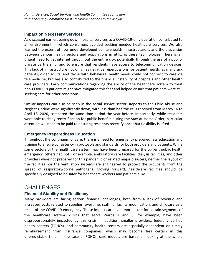### **Impact on Necessary Services**

As discussed earlier, paring down hospital services to a COVID-19-only operation contributed to an environment in which consumers avoided seeking needed healthcare services. We also learned the extent of how underdeveloped our telehealth infrastructure is and the disparities between various health sectors and populations in utilizing these technologies. There is an urgent need to get internet throughout the entire city, potentially through the use of a publicprivate partnership, and to ensure that residents have access to telecommunication devices. This lack of infrastructure not only has negative repercussions for patient health, as many sick patients, older adults, and those with behavioral health needs could not connect to care via telemedicine, but has also contributed to the financial instability of hospitals and other health care providers. Early communications regarding the ability of the healthcare system to treat non-COVID-19 patients might have mitigated this fear and helped ensure that patients were still seeking care for other conditions.

Similar impacts can also be seen in the social service sector. Reports to the Child Abuse and Neglect Hotline were significantly down, with less than half the calls received from March 16 to April 18, 2020, compared the same time period the year before. Importantly, while residents were able to delay recertification for public benefits during the Stay-at-Home Order, particular attention will need to be paid to ensuring residents recertify once that flexibility is lifted.

# **Emergency Preparedness Education**

Throughout the continuum of care, there is a need for emergency preparedness education and training to ensure consistency in protocols and standards for both providers and patients. While some sectors of the health care system may have been prepared for the current public health emergency, others had not. For example, ambulatory care facilities, dialysis facilities, and other providers were not prepared for this pandemic or related major disasters; neither the layout of the facilities nor the ventilation systems are engineered to protect the occupants from the spread of respiratory-borne pathogens. Moving forward, healthcare facilities should be specifically designed to be safer for healthcare workers and patients alike.

# **CHALLENGES**

# **Financial Stability and Resiliency**

Many providers are facing serious financial challenges, both from a lack of revenue and increased costs related to supplies, overtime, staffing, facility modification, and childcare as a result of the COVID-19 emergency. These impacts are even more acute for certain segments of the healthcare system: clinics that serve Wards 7 and 8, for example, have been disproportionately impacted by this crisis. In addition, smaller providers, federally ualified health centers (FQHCs), and community health centers are especially dependent on timely reimbursement from insurance companies, which may become less certain in this unpredictable time. In the case of FQHCs, care models are based on looking at the whole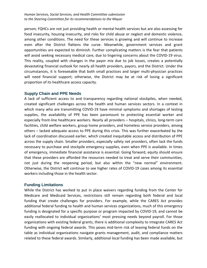person; FQHCs are not just providing health or mental health services but are also assessing for food insecurity, housing insecurity, and risks for child abuse or neglect and domestic violence, among other conditions. The need for these services is growing and will continue to increase even after the District flattens the curve. Meanwhile, government services and grant opportunities are expected to diminish. Further complicating matters is the fear that patients will avoid seeking necessary medical care, due to lingering concerns about the COVID-19 virus. This reality, coupled with changes in the payor mix due to job losses, creates a potentially devastating financial outlook for nearly all health providers, payors, and the District. Under the circumstances, it is foreseeable that both small practices and larger multi-physician practices will need financial support; otherwise, the District may be at risk of losing a significant proportion of its healthcare access capacity.

# **Supply Chain and PPE Needs**

A lack of sufficient access to and transparency regarding national stockpiles, when needed, created significant challenges across the health and human services sectors. In a context in which many who are transmitting COVID-19 have minimal symptoms and shortages of testing supplies, the availability of PPE has been paramount to protecting essential worker and especially front-line healthcare workers. Nearly all providers – hospitals, clinics, long-term care facilities, child welfare workers, group home providers, and homeless service providers, among others – lacked adequate access to PPE during this crisis. This was further exacerbated by the lack of coordination discussed earlier, which created inequitable access and distribution of PPE across the supply chain. Smaller providers, especially safety net providers, often lack the funds necessary to purchase and stockpile emergency supplies, even when PPE is available. In times of emergency, immediate financial assistance is essential. Going forward, equity should ensure that these providers are afforded the resources needed to treat and serve their communities, not just during the reopening period, but also within the "new normal" environment. Otherwise, the District will continue to see higher rates of COVID-19 cases among its essential workers including those in the health sector.

# **Funding Limitations**

While the District has worked to put in place waivers regarding funding from the Center for Medicare and Medicaid Services, restrictions still remain regarding both federal and local funding that create challenges for providers. For example, while the CARES Act provides additional federal funding to health and human services organizations, much of this emergency funding is designated for a specific purpose or program impacted by COVID-19, and cannot be easily reallocated to individual organizations' most pressing needs beyond payroll. For those organizations with existing federal grants, there is additional complexity to integrate CARES Act funding with ongoing federal awards. This poses mid-term risk of leaving federal funds on the table as individual organizations navigate grants management, audit, and compliance matters related to these federal awards. Similarly, additional local funding has been made available, but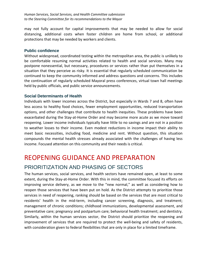may not fully account for capital improvements that may be needed to allow for social distancing, additional costs when foster children are home from school, or additional protections that may be needed by workers and clients.

### **Public confidence**

Without widespread, coordinated testing within the metropolitan area, the public is unlikely to be comfortable resuming normal activities related to health and social services. Many may postpone nonessential, but necessary, procedures or services rather than put themselves in a situation that they perceive as risky. It is essential that regularly scheduled communication be continued to keep the community informed and address questions and concerns. This includes the continuation of regularly scheduled Mayoral press conferences, virtual town hall meetings held by public officials, and public service announcements.

# **Social Determinants of Health**

Individuals with lower incomes across the District, but especially in Wards 7 and 8, often have less access to healthy food choices, fewer employment opportunities, reduced transportation options, and other challenges that contribute to health inequities. These problems have been exacerbated during the Stay-at-Home Order and may become more acute as we move toward reopening. Lower income individuals typically have little to no savings and are not in a position to weather losses to their income. Even modest reductions in income impact their ability to meet basic necessities, including food, medicine and rent. Without question, this situation compounds the mental health stresses already associated with the challenges of having less income. Focused attention on this community and their needs is critical.

# REOPENING GUIDANCE AND PREPARATION PRIORITIZATION AND PHASING OF SECTORS

The human services, social services, and health sectors have remained open, at least to some extent, during the Stay-at-Home Order. With this in mind, the committee focused its efforts on improving service delivery, as we move to the "new normal," as well as considering how to reopen those services that have been put on hold. As the District attempts to prioritize those services in need of reopening, ranking should be based on the services that are most critical to residents' health in the mid-term, including cancer screening, diagnosis, and treatment; management of chronic conditions; childhood immunizations, developmental assessment, and preventative care; pregnancy and postpartum care; behavioral health treatment; and dentistry. Similarly, within the human services sector, the District should prioritize the reopening and improvement of services that are required to protect the well-being and safety of residents, with consideration given to federal flexibilities that are only in place for a limited timeframe.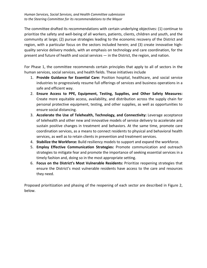The committee drafted its recommendations with certain underlying objectives: (1) continue to prioritize the safety and well-being of all workers, patients, clients, children and youth, and the community at large; (2) pursue strategies leading to the economic recovery of the District and region, with a particular focus on the sectors included herein; and (3) create innovative highquality service delivery models, with an emphasis on technology and care coordination, for the present and future of health and social services — in the District, the region, and nation.

For Phase 1, the committee recommends certain principles that apply to all of sectors in the human services, social services, and health fields. These initiatives include

- 1. **Provide Guidance for Essential Care:** Position hospital, healthcare, and social service industries to progressively resume full offerings of services and business operations in a safe and efficient way.
- 2. **Ensure Access to PPE, Equipment, Testing, Supplies, and Other Safety Measures:**  Create more equitable access, availability, and distribution across the supply chain for personal protective equipment, testing, and other supplies, as well as opportunities to ensure social distancing.
- 3. **Accelerate the Use of Telehealth, Technology, and Connectivity:** Leverage acceptance of telehealth and other new and innovative models of service delivery to accelerate and sustain positive changes in treatment and behaviors. At the same time, promote care coordination services, as a means to connect residents to physical and behavioral health services, as well as to retain clients in prevention and treatment services.
- 4. **Stabilize the Workforce:** Build resiliency models to support and expand the workforce.
- 5. **Employ Effective Communication Strategies:** Promote communication and outreach strategies to mitigate fear and promote the importance of seeking essential services in a timely fashion and, doing so in the most appropriate setting.
- 6. **Focus on the District's Most Vulnerable Residents:** Prioritize reopening strategies that ensure the District's most vulnerable residents have access to the care and resources they need.

Proposed prioritization and phasing of the reopening of each sector are described in Figure 2, below.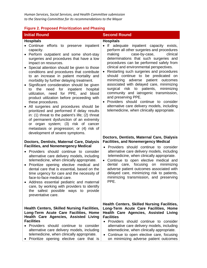#### **Figure 2. Proposed Prioritization and Phasing**

#### **Hospitals**

- Continue efforts to preserve inpatient capacity.
- Perform outpatient and some short-stay surgeries and procedures that have a low impact on resources.
- Special attention should be given to those conditions and procedures that contribute to an increase in patient mortality and morbidity by further delaying treatment.
- Significant consideration should be given to the need for inpatient hospital utilization, need for PPE, and blood product utilization before proceeding with these procedures.
- All surgeries and procedures should be prioritized and performed if delay results in: (1) threat to the patient's life; (2) threat of permanent dysfunction of an extremity or organ system; (3) risk of cancer metastasis or progression; or (4) risk of development of severe symptoms.

#### **Doctors, Dentists, Maternal Care, Dialysis Facilities, and Nonemergency Medical**

- Providers should continue to consider alternative care delivery models, including telemedicine, when clinically appropriate.
- Prioritize opening elective medical and dental care that is essential, based on the time urgency for care and the necessity of face-to-face medical care.
- Address essential pediatric and maternal care, by working with providers to identify the safest possible ways to provide preventative care.

#### **Health Centers, Skilled Nursing Facilities, Long-Term Acute Care Facilities, Home Health Care Agencies, Assisted Living Facilities**

- Providers should continue to consider alternative care delivery models, including telemedicine, when clinically appropriate.
- Prioritize opening elective care that is

# **Initial Round Second Round**

#### **Hospitals**

- If adequate inpatient capacity exists, perform all other surgeries and procedures<br>making case-by-case, clinical making case-by-case, determinations that such surgeries and procedures can be performed safely from clinical and environmental perspectives.
- Restarting such surgeries and procedures should continue to be predicated on minimizing adverse patient outcomes associated with delayed care, minimizing surgical risk to patients, minimizing community and iatrogenic transmission, and preserving PPE.
- Providers should continue to consider alternative care delivery models, including telemedicine, when clinically appropriate.

#### **Doctors, Dentists, Maternal Care, Dialysis Facilities, and Nonemergency Medical**

- Providers should continue to consider alternative care delivery models, including telemedicine, when clinically appropriate.
- Continue to open elective medical and dental care, focusing on minimizing adverse patient outcomes associated with delayed care, minimizing risk to patients, minimizing transmission, and preserving PPE.

**Health Centers, Skilled Nursing Facilities, Long-Term Acute Care Facilities, Home Health Care Agencies, Assisted Living Facilities** 

- Providers should continue to consider alternative care delivery models, including telemedicine, when clinically appropriate.
- Continue to open elective care, focusing on minimizing adverse patient outcomes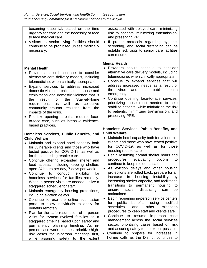becoming essential, based on the time urgency for care and the necessity of face to face medical care.

• Visitors to senior living facilities should continue to be prohibited unless medically necessary.

#### **Mental Health**

- Providers should continue to consider alternative care delivery models, including telemedicine, when clinically appropriate.
- Expand services to address increased domestic violence, child sexual abuse and exploitation and domestic violence that is the result of the Stay-at-Home requirement, as well as collective community trauma resulting from the impacts of the virus.
- Prioritize opening care that requires faceto-face care, such as intensive evidencebased practices.

#### **Homeless Services, Public Benefits, and Child Welfare**

- Maintain and expand hotel capacity both for vulnerable clients and those who have tested positive for COVID-19, as well as for those needing respite care.
- Continue offering expanded shelter and food access, including keeping shelters open 24 hours per day, 7 days per week.<br>Continue to conduct eligibility fo
- Continue to conduct eligibility for homeless services for families remotely. When in-person visits are needed, utilize a staggered schedule for staff.
- Maintain emergency housing protections, including eviction delays.
- Continue to use the online submission portal to allow individuals to apply for benefits remotely.
- Plan for the safe resumption of in-person visits for system-involved families on a staggered timeline based upon safety and permanency planning timeline. As inperson case work resumes, prioritize highrisk cases for in-person meetings first, while assuring safety to the extent

associated with delayed care, minimizing risk to patients, minimizing transmission, and preserving PPE.

• If proper protocols regarding hygiene, screening, and social distancing can be established, visits to senior care facilities can resume.

#### **Mental Health**

- Providers should continue to consider alternative care delivery models, including telemedicine, when clinically appropriate.
- Continue to expand services that will address increased needs as a result of the virus and the public health emergency.
- Continue opening face-to-face services, prioritizing those most needed to help stabilize patients, while minimizing the risk to patients, minimizing transmission, and preserving PPE.

#### **Homeless Services, Public Benefits, and Child Welfare**

- Maintain hotel capacity both for vulnerable clients and those who have tested positive for COVID-19, as well as for those needing respite care.
- Begin resuming normal shelter hours and procedures, evaluating options to continue to keep residents safe.
- As eviction delays and other housing protections are rolled back, prepare for an increase in housing instability by increasing shelter capacity, and facilitating transitions to permanent housing to<br>ensure social distancing can be ensure social distancing can be maintained.
- Begin reopening in-person service centers for public benefits, using modified schedules and other mitigation procedures to keep staff and clients safe.
- Continue to resume in-person case management across the social services sector, prioritizing cases based on risk and assuring safety to the extent possible.
- Continue to prepare for increases in hotline calls as the District continues to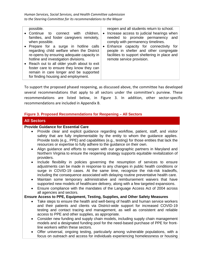| possible.<br>• Continue<br>connect<br>with children,<br>to<br>families, and foster caregivers remotely,<br>when possible.<br>• Prepare for a surge in hotline calls<br>regarding child welfare when the District<br>re-opens by ensuring adequate capacity in<br>hotline and investigation divisions. | $\bullet$ | reopen and all students return to school.<br>Increase access to judicial hearings when<br>needed to promote permanency and<br>comply with permanency timelines.<br>• Enhance capacity for connectivity for<br>people in shelter and other congregate<br>facilities to support sheltering in place and<br>remote service provision. |
|-------------------------------------------------------------------------------------------------------------------------------------------------------------------------------------------------------------------------------------------------------------------------------------------------------|-----------|------------------------------------------------------------------------------------------------------------------------------------------------------------------------------------------------------------------------------------------------------------------------------------------------------------------------------------|
| • Reach out to all older youth about to exit<br>foster care to ensure they know they can<br>remain in care longer and be supported<br>for finding housing and employment.                                                                                                                             |           |                                                                                                                                                                                                                                                                                                                                    |

To support the proposed phased reopening, as discussed above, the committee has developed several recommendations that apply to all sectors under the committee's purview. These recommendations are listed below, in Figure 3. In addition, other sector-specific recommendations are included in Appendix B.

#### **Figure 3. Proposed Recommendations for Reopening – All Sectors**

# **All Sectors**

#### **Provide Guidance for Essential Care**

- Provide clear and explicit guidance regarding workflow, patient, staff, and visitor safety that are fully implementable by the entity to whom the guidance applies. Provide tools (e.g., PPE) and capabilities (e.g., testing) for those entities that lack the resources or expertise to fully adhere to the guidance on their own.
- Align guidance and efforts to reopen with our geographic partners in Maryland and Northern Virginia to ensure the reopening strategy supports equitable revitalization of providers.
- Include flexibility in policies governing the resumption of services to ensure adjustments can be made in response to any changes in public health conditions or surge in COVID-19 cases. At the same time, recognize the risk-risk tradeoffs, including the consequence associated with delaying routine preventative health care.
- Maintain some temporary administrative and reimbursement waivers that have supported new models of healthcare delivery, along with a few targeted expansions.
- Ensure compliance with the mandates of the Language Access Act of 2004 across all agencies and sectors.

#### **Ensure Access to PPE, Equipment, Testing, Supplies, and Other Safety Measures**

- Take steps to ensure the health and well-being of health and human service workers and their patients and clients via District-wide support for increased COVID-19 testing and contact tracing and management, as well as consistent and reliable access to PPE and other supplies, as appropriate.
- Consider new funding and supply chain models, including supply chain management models and a designated funding pool for the need-based purchase of PPE for frontline workers within these sectors.
- Offer universal, ongoing testing, particularly among vulnerable populations, with a focus on outreach and access for individuals experiencing homelessness or housing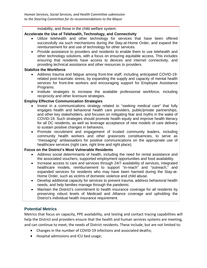### instability, and those in the child welfare system.

### **Accelerate the Use of Telehealth, Technology, and Connectivity**

- Utilize telehealth and other technology for services that have been offered successfully via such mechanisms during the Stay-at-Home Order, and expand the reimbursement for and use of technology for other services.
- Provide assistance to providers and residents to enable them to use telehealth and other technology solutions, with a focus on ensuring equitable access. This includes ensuring that residents have access to devices and internet connectivity, and providing technical assistance and other resources to providers.

### **Stabilize the Workforce**

- Address trauma and fatigue among front-line staff, including anticipated COVID-19 related post-traumatic stress, by expanding the supply and capacity of mental health services for front-line workers and encouraging support for Employee Assistance Programs.
- Institute strategies to increase the available professional workforce, including reciprocity and other licensure strategies.

### **Employ Effective Communication Strategies**

- Invest in a communications strategy related to "seeking medical care" that fully engages health and behavioral health care providers, public/private partnerships, and other key stakeholders, and focuses on mitigating fear and myths in the wake of COVID-19. Such strategies should promote health equity and improve health literacy for all DC residents, as well as leverage acceptance of new models of care delivery to sustain positive changes in behaviors.
- Promote recruitment and engagement of trusted community leaders, including community health workers and other grassroots constituencies, to serve as "messaging" ambassadors for positive communications on the appropriate use of healthcare services (right care, right time and right place).

#### **Focus on the District's Most Vulnerable Residents**

- Address social determinants of health, including the need for rental assistance and the associated vouchers, supported employment opportunities and food availability.
- Increase access to care and services through 24/7 availability of services, integrated healthcare models, reimbursement to support "in-reach" and "outreach," and expanded services for residents who may have been harmed during the Stay-at-Home Order, such as victims of domestic violence and child abuse.
- Develop additional capacity for services to prevent trauma, address behavioral health needs, and help families manage through the pandemic.
- Maintain the District's commitment to health insurance coverage for all residents by preserving robust levels of Medicaid and Alliance coverage and upholding the District's individual health insurance requirement.

# **Potential Metrics**

Metrics that focus on capacity, PPE availability, and testing and contact tracing capabilities will help the District and providers ensure that the health and human services systems are meeting, and can continue to meet, the needs of District residents. These include, but are not limited to:

- Changes in the number of COVID-19 infections and associated deaths;
- Hospital admissions and ICU bed usage;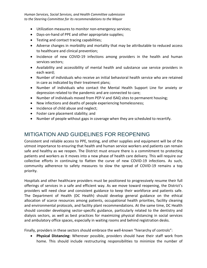- Utilization measures to monitor non-emergency services;
- Days-on-hand of PPE and other appropriate supplies;
- Testing and contact tracing capabilities;
- Adverse changes in morbidity and mortality that may be attributable to reduced access to healthcare and clinical prevention;
- Incidence of new COVID-19 infections among providers in the health and human services sectors;
- Availability and accessibility of mental health and substance use service providers in each ward;
- Number of individuals who receive an initial behavioral health service who are retained in care as indicated by their treatment plans;
- Number of individuals who contact the Mental Health Support Line for anxiety or depression related to the pandemic and are connected to care;
- Number of individuals moved from PEP-V and ISAQ sites to permanent housing;
- New infections and deaths of people experiencing homelessness;
- Incidence of child abuse and neglect;
- Foster care placement stability; and
- Number of people without gaps in coverage when they are scheduled to recertify.

# MITIGATION AND GUIDELINES FOR REOPENING

Consistent and reliable access to PPE, testing, and other supplies and equipment will be of the utmost importance to ensuring that health and human service workers and patients can remain safe and healthy as we reopen. The District must ensure there is a commitment to protecting patients and workers as it moves into a new phase of health care delivery. This will require our collective efforts in continuing to flatten the curve of new COVID-19 infections. As such, community adherence to safety measures to slow the spread of COVID-19 remains a top priority.

Hospitals and other healthcare providers must be positioned to progressively resume their full offerings of services in a safe and efficient way. As we move toward reopening, the District's providers will need clear and consistent guidance to keep their workforce and patients safe. The Department of Health (DC Health) should develop general guidance on the ethical allocation of scarce resources among patients, occupational health priorities, facility cleaning and environmental protocols, and facility plant recommendations. At the same time, DC Health should consider developing sector-specific guidance, particularly related to the dentistry and dialysis sectors, as well as best practices for maximizing physical distancing in social services and ambulatory office spaces, especially in waiting rooms and behind registration desks.

Finally, providers in these sectors should embrace the well-known "hierarchy of controls":

• **Physical Distancing:** Wherever possible, providers should have their staff work from home. This should include restructuring responsibilities to minimize the number of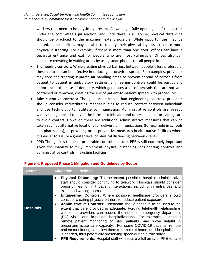workers that need to be physically present. As we begin fully opening all of the sectors under the committee's jurisdiction, and until there is a vaccine, physical distancing should be practiced to the maximum extent possible. While opportunities may be limited, some facilities may be able to modify their physical layouts to create more physical distancing. For example, if there is more than one door, offices can have a separate entrance and exit for people who are most vulnerable. Offices also can eliminate crowding in waiting areas by using smartphones to call people in.

- **Engineering controls:** While creating physical barriers between people is less preferable, these controls can be effective in reducing coronavirus spread. For examples, providers may consider creating separate air handling areas to prevent spread of aerosols from patient to patient in ambulatory settings. Engineering controls could be particularly important in the case of dentistry, which generates a lot of aerosols that are not well contained or removed, creating the risk of patient-to-patient spread with procedures.
- **Administrative controls:** Though less desirable than engineering controls, providers should consider redistributing responsibilities to reduce contact between individuals and use technology to facilitate communication. Administrative controls are already widely being applied today in the form of telehealth and other means of providing care to avoid contact. However, there are additional administrative measures that can be taken such as alternative locations for delivering immunizations (for example in schools and pharmacies), or providing other preventive measures in alternative facilities where it is easier to assure a greater level of physical distancing between clients.
- **PPE:** Though it is the least preferable control measure, PPE is still extremely important given the inability to fully implement physical distancing, engineering controls and administrative controls in existing facilities.

| <b>Sector</b>    | <b>Mitigation Guidelines</b>                                                                                                                                                                                                                                                                                                                                                                                                                                                                                   |
|------------------|----------------------------------------------------------------------------------------------------------------------------------------------------------------------------------------------------------------------------------------------------------------------------------------------------------------------------------------------------------------------------------------------------------------------------------------------------------------------------------------------------------------|
|                  | <b>Physical Distancing:</b> To the extent possible, hospital administrative<br>$\bullet$<br>staff should consider continuing to telework. Hospitals should consider<br>opportunities to limit patient interactions, including in entrances and<br>exits, and waiting rooms.                                                                                                                                                                                                                                    |
|                  | Engineering Controls: Where possible, healthcare providers should<br>consider creating physical barriers to reduce patient exposure.<br>Administrative Controls: Telehealth should continue to be used to the                                                                                                                                                                                                                                                                                                  |
| <b>Hospitals</b> | extent that care provided is adequate. Forging telehealth relationships<br>with other providers can reduce the need for emergency department<br>(ED) visits and in-patient hospitalizations. For example, increased<br>remote patient monitoring of SNF patients may prove helpful in<br>preserving acute care capacity. For some COVID-19 patients, remote<br>patient monitoring can allow them to remain at home, until hospitalization<br>is needed, thus potentially preserving space during a true surge. |
|                  | PPE Requirements: Hospital staff will require a full array of PPE to care                                                                                                                                                                                                                                                                                                                                                                                                                                      |

#### **Figure 4. Proposed Phase 1 Mitigation and Guidelines by Sector**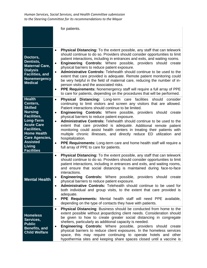|                                                                                                                                                                                                                                       | for patients.                                                                                                                                                                                                                                                                                                                                                                                                                                                                                                                                                                                                                                                                                                                                                                                                                                |
|---------------------------------------------------------------------------------------------------------------------------------------------------------------------------------------------------------------------------------------|----------------------------------------------------------------------------------------------------------------------------------------------------------------------------------------------------------------------------------------------------------------------------------------------------------------------------------------------------------------------------------------------------------------------------------------------------------------------------------------------------------------------------------------------------------------------------------------------------------------------------------------------------------------------------------------------------------------------------------------------------------------------------------------------------------------------------------------------|
| Doctors,<br>Dentists,<br><b>Maternal Care,</b><br><b>Dialysis</b><br><b>Facilities, and</b><br><b>Nonemergency</b><br><b>Medical</b>                                                                                                  | <b>Physical Distancing:</b> To the extent possible, any staff that can telework<br>should continue to do so. Providers should consider opportunities to limit<br>patient interactions, including in entrances and exits, and waiting rooms.<br>Engineering Controls: Where possible, providers should create<br>$\bullet$<br>physical barriers to reduce patient exposure.<br>Administrative Controls: Telehealth should continue to be used to the<br>$\bullet$<br>extent that care provided is adequate. Remote patient monitoring could<br>be very helpful in the field of maternal care, reducing the number of in-<br>person visits and the associated risks.<br><b>PPE Requirements:</b> Nonemergency staff will require a full array of PPE<br>$\bullet$<br>to care for patients, depending on the procedures that will be performed. |
| <b>Health</b><br>Centers,<br><b>Skilled</b><br><b>Nursing</b><br>Facilities,<br><b>Long-Term</b><br><b>Acute Care</b><br>Facilities,<br><b>Home Health</b><br><b>Care Agencies,</b><br><b>Assisted</b><br>Living<br><b>Facilities</b> | Distancing: Long-term care facilities<br><b>Physical</b><br>should<br>consider<br>$\bullet$<br>continuing to limit visitors and screen any visitors that are allowed.<br>Patient interactions should continue to be limited.<br><b>Engineering Controls:</b> Where possible, providers should create<br>$\bullet$<br>physical barriers to reduce patient exposure.<br><b>Administrative Controls:</b> Telehealth should continue to be used to the<br>$\bullet$<br>extent that care provided is adequate. Additional remote patient<br>monitoring could assist health centers in treating their patients with<br>multiple chronic illnesses, and directly reduce ED utilization and<br>hospitalization.<br>PPE Requirements: Long-term care and home health staff will require a<br>full array of PPE to care for patients.                  |
| <b>Mental Health</b>                                                                                                                                                                                                                  | <b>Physical Distancing:</b> To the extent possible, any staff that can telework<br>$\bullet$<br>should continue to do so. Providers should consider opportunities to limit<br>patient interactions, including in entrances and exits, and waiting rooms,<br>and ensure that social distancing is maintained during face-to-face<br>interactions.<br>Engineering Controls: Where possible, providers should create<br>physical barriers to reduce patient exposure.<br>Administrative Controls: Telehealth should continue to be used for<br>$\bullet$<br>both individual and group visits, to the extent that care provided is<br>adequate.<br>PPE Requirements: Mental health staff will need PPE available,<br>$\bullet$<br>depending on the type of contacts they have with patients.                                                     |
| <b>Homeless</b><br>Services,<br><b>Public</b><br><b>Benefits, and</b><br><b>Child Welfare</b>                                                                                                                                         | <b>Physical Distancing: Business should be conducted from home to the</b><br>extent possible without jeopardizing client needs. Consideration should<br>be given to how to create greater social distancing in congregate<br>shelters, particularly as additional capacity is needed.<br><b>Engineering Controls:</b> Where possible, providers should create<br>٠<br>physical barriers to reduce client exposures. In the homeless services<br>space, this may require continuing to operate hotels and other<br>hypothermia sites and keeping share spaces closed until a vaccine is                                                                                                                                                                                                                                                       |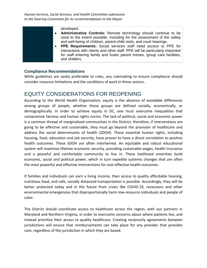| developed.                                                                    |
|-------------------------------------------------------------------------------|
| <b>Administrative Controls:</b> Remote technology should continue to be       |
| used to the extent possible, including for the assessment of the safety       |
| and well-being of children, parent-child visits, and court hearings.          |
| <b>PPE Requirements:</b> Social services staff need access to PPE for         |
| interactions with clients and other staff. PPE will be particularly important |
| for staff entering family and foster parent homes, group care facilities,     |
| and shelters.                                                                 |

# **Compliance Recommendations**

While guidelines are vastly preferable to rules, any rulemaking to ensure compliance should consider resource limitations and the conditions of work in these sectors.

# EQUITY CONSIDERATIONS FOR REOPENING

According to the World Health Organization, equity is the absence of avoidable differences among groups of people, whether those groups are defined socially, economically, or demographically. In order to achieve equity in DC, one must overcome inequalities that compromise fairness and human rights norms. The lack of political, social and economic power is a common thread of marginalized communities in the District; therefore, if interventions are going to be effective and sustainable, they must go beyond the provision of healthcare and address the social determinants of health (SDOH). These essential human rights, including housing, food, education and job security, have proven to have a direct correlation to positive health outcomes. These SDOH are often intertwined. An equitable and robust educational system will maximize lifetime economic security, providing sustainable wages, health insurance and a peaceful and comfortable community to live in. These livelihood amenities build economic, social and political power, which in turn expedite systemic changes that are often the most powerful and effective interventions for cost-effective health outcomes.

If families and individuals can earn a living income, then access to quality affordable housing, nutritious food, and safe, socially distanced transportation is possible. Accordingly, they will be better protected today and in the future from crises like COVID-19, recessions and other environmental emergencies that disproportionally harm low-resource individuals and people of color.

The District should coordinate access to healthcare across the region, with our partners in Maryland and Northern Virginia, in order to overcome concerns about where patients live, and instead prioritize their access to quality healthcare. Creating reciprocity agreements between jurisdictions will ensure that reimbursements can take place for any provider that provides care, regardless of the jurisdiction in which they are based.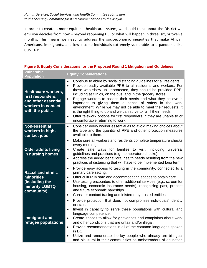In order to create a more equitable healthcare system, we should think about the District we envision decades from now – beyond reopening DC, or what will happen in three, six, or twelve months. This means we need to address the socioeconomic inequities that make African Americans, immigrants, and low-income individuals extremely vulnerable to a pandemic like COVID-19.

| Vulnerable<br><b>Population</b>                                                                                 | <b>Equity Considerations</b>                                                                                                                                                                                                                                                                                                                                                                                                                                                                                                                                                                                                                                                                    |
|-----------------------------------------------------------------------------------------------------------------|-------------------------------------------------------------------------------------------------------------------------------------------------------------------------------------------------------------------------------------------------------------------------------------------------------------------------------------------------------------------------------------------------------------------------------------------------------------------------------------------------------------------------------------------------------------------------------------------------------------------------------------------------------------------------------------------------|
| <b>Healthcare workers,</b><br>first responders,<br>and other essential<br>workers in contact<br>with the public | Continue to abide by social distancing guidelines for all residents.<br>Provide readily available PPE to all residents and workers. For<br>$\bullet$<br>those who show up unprotected, they should be provided PPE,<br>including at clinics, on the bus, and in the grocery stores.<br>Engage workers to assess their needs and what they believe is<br>$\bullet$<br>important to giving them a sense of safety in the work<br>environment. While we may not be able to meet their requests, it<br>is the right thing to do and we can strive to fulfill their needs.<br>Offer telework options for first responders, if they are unable to or<br>$\bullet$<br>uncomfortable returning to work. |
| <b>Non-essential</b><br>workers in high-<br>contact jobs                                                        | Consider every worker essential as to avoid making choices about<br>$\bullet$<br>the type and the quantity of PPE and other protection measures<br>available to them.                                                                                                                                                                                                                                                                                                                                                                                                                                                                                                                           |
| <b>Older adults living</b><br>in nursing homes                                                                  | Make sure all workers and residents complete temperature checks<br>$\bullet$<br>every morning.<br>Create safe ways for families to visit, including universal<br>$\bullet$<br>guidelines and practices (e.g., temperature checks).<br>Address the added behavioral health needs resulting from the new<br>$\bullet$<br>practices of distancing that will have to be implemented long term.                                                                                                                                                                                                                                                                                                      |
| <b>Racial and ethnic</b><br>minorities<br>(including the<br>minority LGBTQ<br>community)                        | Provide easy access to testing in the community, connected to a<br>$\bullet$<br>primary care setting.<br>Offer culturally safe and accommodating spaces to obtain care.<br>$\bullet$<br>Use testing encounters to offer additional services (e.g., screen for<br>$\bullet$<br>housing, economic insurance needs), recognizing past, present<br>and future economic hardships.<br>Consider contact tracing administered by trusted entities.<br>$\bullet$                                                                                                                                                                                                                                        |
| <b>Immigrant and</b><br>refugee populations                                                                     | Provide protection that does not compromise individuals' identity<br>$\bullet$<br>or status.<br>Invest in capacity to serve these populations with cultural and<br>$\bullet$<br>language competence.<br>Create spaces to allow for grievances and complaints about work<br>$\bullet$<br>and other conditions that are unfair and/or illegal.<br>Provide recommendations in all of the common languages spoken<br>$\bullet$<br>in DC.<br>Utilize and remunerate the lay people who already are bilingual<br>and bicultural in their communities as ambassadors of education                                                                                                                      |

### **Figure 5. Equity Considerations for the Proposed Round 1 Mitigation and Guidelines**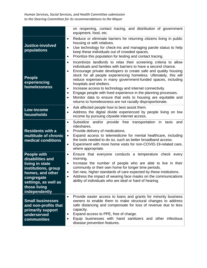|                                                                                                                                                                             | on reopening, contact tracing, and distribution of government<br>equipment, food, etc.                                                                                                                                                                                                                                                                                                                                                                                                                                                                                                                                                                                          |
|-----------------------------------------------------------------------------------------------------------------------------------------------------------------------------|---------------------------------------------------------------------------------------------------------------------------------------------------------------------------------------------------------------------------------------------------------------------------------------------------------------------------------------------------------------------------------------------------------------------------------------------------------------------------------------------------------------------------------------------------------------------------------------------------------------------------------------------------------------------------------|
| <b>Justice-involved</b><br>populations                                                                                                                                      | Reduce or eliminate barriers for returning citizens living in public<br>$\bullet$<br>housing or with relatives.<br>Use technology for check-ins and managing parole status to help<br>keep these individuals out of crowded spaces.<br>Prioritize this population for testing and contact tracing.<br>٠                                                                                                                                                                                                                                                                                                                                                                         |
| <b>People</b><br>experiencing<br>homelessness                                                                                                                               | Incentivize landlords to relax their screening criteria to allow<br>$\bullet$<br>individuals and families with barriers to have a second chance.<br>Encourage private developers to create safe and quality housing<br>٠<br>stock for all people experiencing homeless. Ultimately, this will<br>reduce expenses in many government-funded spaces, including<br>hospitals and shelters.<br>Increase access to technology and internet connectivity.<br>$\bullet$<br>Engage people with lived experience in the planning processes.<br>Monitor data to ensure that exits to housing are equitable and<br>$\bullet$<br>returns to homelessness are not racially disproportionate. |
| Low-income<br>households                                                                                                                                                    | Ask affected people how to best assist them.<br>٠<br>Address the digital divide experienced by people living on low<br>$\bullet$<br>income by pursuing citywide internet access.                                                                                                                                                                                                                                                                                                                                                                                                                                                                                                |
| <b>Residents with a</b><br>multitude of chronic<br>medical conditions                                                                                                       | Subsidize and/or provide free transportation in taxis and<br>$\bullet$<br>rideshares.<br>Provide delivery of medications.<br>$\bullet$<br>Expand access to telemedicine for mental healthcare, including<br>$\bullet$<br>the tools needed to do so, such as better broadband access.<br>Experiment with more home visits for non-COVID-19-related care,<br>$\bullet$<br>where appropriate.                                                                                                                                                                                                                                                                                      |
| <b>People with</b><br>disabilities and<br>living in state<br>institutions, group<br>homes, and other<br>congregate<br>settings, as well as<br>those living<br>independently | Ensure that everyone conducts a temperature check every<br>$\bullet$<br>morning.<br>Increase the number of people who are able to live in their<br>$\bullet$<br>community or their own home for longer time periods.<br>Set new, higher standards of care expected by these institutions.<br>Address the impact of wearing face masks on the communications<br>ability of individuals who are deaf or hard of hearing.                                                                                                                                                                                                                                                          |
| <b>Small businesses</b><br>and non-profits that<br>primarily support<br>underserved<br>communities                                                                          | Provide easier access to loans and grants for minority business<br>$\bullet$<br>owners to enable them to make structural changes to address<br>safe distancing and compensate for loss of revenue due to less<br>capacity.<br>Expand access to PPE, free of charge.<br>٠<br>Equip businesses with hand sanitizers and other infectious<br>disease prevention features.                                                                                                                                                                                                                                                                                                          |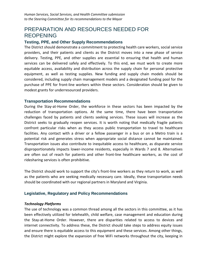# PREPARATION AND RESOURCES NEEDED FOR REOPENING

### **Testing, PPE, and Other Supply Recommendations**

The District should demonstrate a commitment to protecting health care workers, social service providers, and their patients and clients as the District moves into a new phase of service delivery. Testing, PPE, and other supplies are essential to ensuring that health and human services can be delivered safely and effectively. To this end, we must work to create more equitable access, availability and distribution across the supply chain for personal protective equipment, as well as testing supplies. New funding and supply chain models should be considered, including supply chain management models and a designated funding pool for the purchase of PPE for front-line workers within these sectors. Consideration should be given to modest grants for underresourced providers.

#### **Transportation Recommendations**

During the Stay-at-Home Order, the workforce in these sectors has been impacted by the reduction of transportation options. At the same time, there have been transportation challenges faced by patients and clients seeking services. These issues will increase as the District seeks to gradually reopen services. It is worth noting that medically fragile patients confront particular risks when as they access public transportation to travel to healthcare facilities. Any contact with a driver or a fellow passenger in a bus or on a Metro train is a potential risk and generates stress when appropriate social distance cannot be maintained. Transportation issues also contribute to inequitable access to healthcare, as disparate service disproportionately impacts lower-income residents, especially in Wards 7 and 8. Alternatives are often out of reach for patients and other front-line healthcare workers, as the cost of ridesharing services is often prohibitive.

The District should work to support the city's front-line workers as they return to work, as well as the patients who are seeking medically necessary care. Ideally, these transportation needs should be coordinated with our regional partners in Maryland and Virginia.

#### **Legislative, Regulatory and Policy Recommendations**

#### *Technology Platforms*

The use of technology was a common thread among all the sectors in this committee, as it has been effectively utilized for telehealth, child welfare, case management and education during the Stay-at-Home Order. However, there are disparities related to access to devices and internet connectivity. To address these, the District should take steps to address equity issues and ensure there is equitable access to this equipment and these services. Among other things, the District might explore the expansion of free WiFi networks throughout the city, keeping in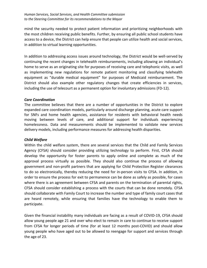mind the security needed to protect patient information and prioritizing neighborhoods with the most children receiving public benefits. Further, by ensuring all public school students have access to a device, the District can help ensure that people can utilize health and social services, in addition to virtual learning opportunities.

In addition to addressing access issues around technology, the District would be well-served by continuing the recent changes in telehealth reimbursements, including allowing an individual's home to serve as an originating site for purposes of receiving care and telephonic visits, as well as implementing new regulations for remote patient monitoring and classifying telehealth equipment as "durable medical equipment" for purposes of Medicaid reimbursement. The District should also example other regulatory changes that create efficiencies in services, including the use of telecourt as a permanent option for involuntary admissions (FD-12).

### *Care Coordination*

The committee believes that there are a number of opportunities in the District to explore expanded care coordination models, particularly around discharge planning, acute care support for SNFs and home health agencies, assistance for residents with behavioral health needs moving between levels of care, and additional support for individuals experiencing homelessness. Data and measurements should be implemented to validate new services delivery models, including performance measures for addressing health disparities.

#### *Child Welfare*

Within the child welfare system, there are several services that the Child and Family Services Agency (CFSA) should consider providing utilizing technology to perform. First, CFSA should develop the opportunity for foster parents to apply online and complete as much of the approval process virtually as possible. They should also continue the process of allowing government and non-profit partners that are applying for Child Protection Register clearances to do so electronically, thereby reducing the need for in-person visits to CFSA. In addition, in order to ensure the process for exit to permanence can be done as safely as possible, for cases where there is an agreement between CFSA and parents on the termination of parental rights, CFSA should consider establishing a process with the courts that can be done remotely. CFSA should collaborate with Family Court to increase the number and type of family court cases that are heard remotely, while ensuring that families have the technology to enable them to participate.

Given the financial instability many individuals are facing as a result of COVID-19, CFSA should allow young people age 21 and over who elect to remain in care to continue to receive support from CFSA for longer periods of time (for at least 12 months post-COVID) and should allow young people who have aged out to be allowed to reengage for support and services through the age of 23.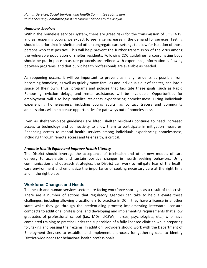#### *Homeless Services*

Within the homeless services system, there are great risks for the transmission of COVID-19, and as reopening occurs, we expect to see large increases in the demand for services. Testing should be prioritized in shelter and other congregate care settings to allow for isolation of those persons who test positive. This will help prevent the further transmission of the virus among the vulnerable population of shelter residents. Following CDC guidelines, a coordinating body should be put in place to assure protocols are refined with experience, information is flowing between programs, and that public health professionals are available as needed.

As reopening occurs, it will be important to prevent as many residents as possible from becoming homeless, as well as quickly move families and individuals out of shelter, and into a space of their own. Thus, programs and policies that facilitate these goals, such as Rapid Rehousing, eviction delays, and rental assistance, will be invaluable. Opportunities for employment will also help stabilize residents experiencing homelessness. Hiring individuals experiencing homelessness, including young adults, as contact tracers and community ambassadors will help create opportunities for pathways out of homelessness.

Even as shelter-in-place guidelines are lifted, shelter residents continue to need increased access to technology and connectivity to allow them to participate in mitigation measures. Enhancing access to mental health services among individuals experiencing homelessness, including through remote access and telehealth, is critical.

# *Promote Health Equity and Improve Health Literacy*

The District should leverage the acceptance of telehealth and other new models of care delivery to accelerate and sustain positive changes in health seeking behaviors. Using communication and outreach strategies, the District can work to mitigate fear of the health care environment and emphasize the importance of seeking necessary care at the right time and in the right place.

# **Workforce Changes and Needs**

The health and human services sectors are facing workforce shortages as a result of this crisis. There are a number of actions that regulatory agencies can take to help alleviate these challenges, including allowing practitioners to practice in DC if they have a license in another state while they go through the credentialing process; implementing interstate licensure compacts to additional professions; and developing and implementing requirements that allow graduates of professional school (i.e., MDs, LICSWs, nurses, psychologists, etc.) who have completed training to practice under the supervision of a fully licensed clinician while preparing for, taking and passing their exams. In addition, providers should work with the Department of Employment Services to establish and implement a process for gathering data to identify District-wide needs for behavioral health professionals.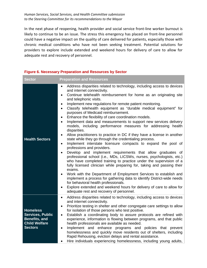In the next phase of reopening, health provider and social service front-line worker burnout is likely to continue to be an issue. The stress this emergency has placed on front-line personnel could have a negative impact on the quality of care delivered for patients, especially those with chronic medical conditions who have not been seeking treatment. Potential solutions for providers to explore include extended and weekend hours for delivery of care to allow for adequate rest and recovery of personnel.

| <b>Sector</b>                                                                                                | <b>Preparation and Resources</b>                                                                                                                                                                                                                                                                                                                                                                                                                                                                                                                                                                                                                                                                                                                                                                                                                                                                                                                                                                                                                                                                                                                                                                                                                                                                                                                                                                                                                                                                                                                          |
|--------------------------------------------------------------------------------------------------------------|-----------------------------------------------------------------------------------------------------------------------------------------------------------------------------------------------------------------------------------------------------------------------------------------------------------------------------------------------------------------------------------------------------------------------------------------------------------------------------------------------------------------------------------------------------------------------------------------------------------------------------------------------------------------------------------------------------------------------------------------------------------------------------------------------------------------------------------------------------------------------------------------------------------------------------------------------------------------------------------------------------------------------------------------------------------------------------------------------------------------------------------------------------------------------------------------------------------------------------------------------------------------------------------------------------------------------------------------------------------------------------------------------------------------------------------------------------------------------------------------------------------------------------------------------------------|
| <b>Health Sectors</b>                                                                                        | Address disparities related to technology, including access to devices<br>$\bullet$<br>and internet connectivity.<br>Continue telehealth reimbursement for home as an originating site<br>$\bullet$<br>and telephonic visits.<br>Implement new regulations for remote patient monitoring.<br>$\bullet$<br>Classify telehealth equipment as "durable medical equipment" for<br>$\bullet$<br>purposes of Medicaid reimbursement.<br>Enhance the flexibility of care coordination models.<br>$\bullet$<br>Implement data and measurements to support new services delivery<br>$\bullet$<br>models, including performance measures for addressing health<br>disparities.<br>Allow practitioners to practice in DC if they have a license in another<br>$\bullet$<br>state while they go through the credentialing process.<br>Implement interstate licensure compacts to expand the pool of<br>$\bullet$<br>professions and providers.<br>Develop and implement requirements that allow graduates of<br>professional school (i.e., MDs, LICSWs, nurses, psychologists, etc.)<br>who have completed training to practice under the supervision of a<br>fully licensed clinician while preparing for, taking and passing their<br>exams.<br>Work with the Department of Employment Services to establish and<br>implement a process for gathering data to identify District-wide needs<br>for behavioral health professionals.<br>Explore extended and weekend hours for delivery of care to allow for<br>$\bullet$<br>adequate rest and recovery of personnel. |
| <b>Homeless</b><br><b>Services, Public</b><br><b>Benefits, and</b><br><b>Child Welfare</b><br><b>Sectors</b> | Address disparities related to technology, including access to devices<br>$\bullet$<br>and internet connectivity.<br>Prioritize testing in shelter and other congregate care settings to allow<br>$\bullet$<br>for isolation of those persons who test positive.<br>Establish a coordinating body to assure protocols are refined with<br>$\bullet$<br>experience, information is flowing between programs, and that public<br>health professionals are available as needed.<br>Implement and enhance programs and policies that prevent<br>$\bullet$<br>homelessness and quickly move residents out of shelters, including<br>Rapid Rehousing, eviction delays and rental assistance.<br>Hire individuals experiencing homelessness, including young adults,                                                                                                                                                                                                                                                                                                                                                                                                                                                                                                                                                                                                                                                                                                                                                                                             |

#### **Figure 6. Necessary Preparation and Resources by Sector**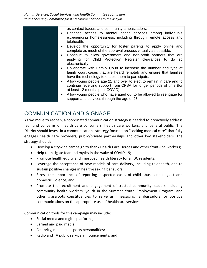| $\bullet$ | as contact tracers and community ambassadors.<br>Enhance access to mental health services among individuals<br>experiencing homelessness, including through remote access and<br>telehealth.  |
|-----------|-----------------------------------------------------------------------------------------------------------------------------------------------------------------------------------------------|
| $\bullet$ | Develop the opportunity for foster parents to apply online and<br>complete as much of the approval process virtually as possible.                                                             |
| $\bullet$ | Continue to allow government and non-profit partners that are<br>applying for Child Protection Register clearances to do so<br>electronically.                                                |
| $\bullet$ | Collaborate with Family Court to increase the number and type of<br>family court cases that are heard remotely and ensure that families<br>have the technology to enable them to participate. |
| $\bullet$ | Allow young people age 21 and over to elect to remain in care and to<br>continue receiving support from CFSA for longer periods of time (for<br>at least 12 months post-COVID).               |
| $\bullet$ | Allow young people who have aged out to be allowed to reengage for<br>support and services through the age of 23.                                                                             |

# COMMUNICATION AND SIGNAGE

As we move to reopen, a coordinated communication strategy is needed to proactively address fear and concerns of health care consumers, health care workers, and general public. The District should invest in a communications strategy focused on "seeking medical care" that fully engages health care providers, public/private partnerships and other key stakeholders. The strategy should:

- Develop a citywide campaign to thank Health Care Heroes and other front-line workers;
- Help to mitigate fear and myths in the wake of COVID-19;
- Promote health equity and improved health literacy for all DC residents;
- Leverage the acceptance of new models of care delivery, including telehealth, and to sustain positive changes in health-seeking behaviors;
- Stress the importance of reporting suspected cases of child abuse and neglect and domestic violence; and
- Promote the recruitment and engagement of trusted community leaders including community health workers, youth in the Summer Youth Employment Program, and other grassroots constituencies to serve as "messaging" ambassadors for positive communications on the appropriate use of healthcare services.

Communication tools for this campaign may include:

- Social media and digital platforms;
- Earned and paid media;
- Celebrity, media and sports personalities;
- Radio and TV public service announcements; and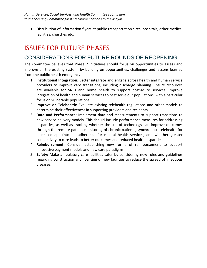• Distribution of information flyers at public transportation sites, hospitals, other medical facilities, churches etc.

# ISSUES FOR FUTURE PHASES

# CONSIDERATIONS FOR FUTURE ROUNDS OF REOPENING

The committee believes that Phase 2 initiatives should focus on opportunities to assess and improve on the existing system, by building on opportunities, challenges and lessons learned from the public health emergency:

- 1. **Institutional Integration:** Better integrate and engage across health and human service providers to improve care transitions, including discharge planning. Ensure resources are available for SNFs and home health to support post-acute services. Improve integration of health and human services to best serve our populations, with a particular focus on vulnerable populations.
- 2. **Improve on Telehealth:** Evaluate existing telehealth regulations and other models to determine their effectiveness in supporting providers and residents.
- 3. **Data and Performance:** Implement data and measurements to support transitions to new service delivery models. This should include performance measures for addressing disparities, as well as tracking whether the use of technology can improve outcomes through the remote patient monitoring of chronic patients, synchronous telehealth for increased appointment adherence for mental health services, and whether greater connectivity to care leads to better outcomes and reduced health disparities.
- 4. **Reimbursement:** Consider establishing new forms of reimbursement to support innovative payment models and new care paradigms.
- 5. **Safety:** Make ambulatory care facilities safer by considering new rules and guidelines regarding construction and licensing of new facilities to reduce the spread of infectious diseases.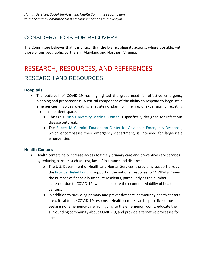# CONSIDERATIONS FOR RECOVERY

The Committee believes that it is critical that the District align its actions, where possible, with those of our geographic partners in Maryland and Northern Virginia.

# RESEARCH, RESOURCES, AND REFERENCES RESEARCH AND RESOURCES

# **Hospitals**

- The outbreak of COVID-19 has highlighted the great need for effective emergency planning and preparedness. A critical component of the ability to respond to large-scale emergencies involves creating a strategic plan for the rapid expansion of existing hospital inpatient space.
	- o Chicago's [Rush University Medical Center](https://www.rushu.rush.edu/news/%E2%80%98-what-rush-was-built-%E2%80%99) is specifically designed for infectious disease outbreak.
	- o The [Robert McCormick Foundation Center for Advanced Emergency Response,](https://www.rush.edu/news/press-releases/nations-first-center-advanced-emergency-response-opens-january-6?_ga=2.57838954.1103679350.1588861790-1398068121.1588861790) which encompasses their emergency department, is intended for large-scale emergencies.

# **Health Centers**

- Health centers help increase access to timely primary care and preventive care services by reducing barriers such as cost, lack of insurance and distance.
	- o The U.S. Department of Health and Human Services is providing support through the [Provider Relief Fund](https://www.hhs.gov/coronavirus/cares-act-provider-relief-fund/index.html) in support of the national response to COVID-19. Given the number of financially insecure residents, particularly as the number increases due to COVID-19, we must ensure the economic viability of health centers.
	- o In addition to providing primary and preventive care, community health centers are critical to the COVID-19 response. Health centers can help to divert those seeking nonemergency care from going to the emergency rooms, educate the surrounding community about COVID-19, and provide alternative processes for care.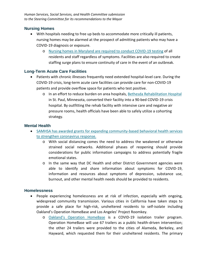# **Nursing Homes**

- With hospitals needing to free up beds to accommodate more critically ill patients, nursing homes may be alarmed at the prospect of admitting patients who may have a COVID-19 diagnosis or exposure.
	- o [Nursing homes in Maryland are required](https://governor.maryland.gov/wp-content/uploads/2020/04/Nursing-Homes-Amended-4.29.20.pdf) to conduct COVID-19 testing of all residents and staff regardless of symptoms. Facilities are also required to create staffing surge plans to ensure continuity of care in the event of an outbreak.

# **Long-Term Acute Care Facilities**

- Patients with chronic illnesses frequently need extended hospital-level care. During the COVID-19 crisis, long-term acute care facilities can provide care for non-COVID-19 patients and provide overflow space for patients who test positive.
	- o In an effort to reduce burden on area hospitals, [Bethesda Rehabilitation Hospital](https://www.twincities.com/2020/03/26/bethesda-rehab-hospital-is-converted-into-the-metros-first-covid-19-crisis-hospital-expects-first-patient/) in St. Paul, Minnesota, converted their facility into a 90-bed COVID-19 crisis hospital. By outfitting the rehab facility with intensive care and negative air pressure rooms, health officials have been able to safely utilize a cohorting strategy.

# **Mental Health**

- [SAMHSA has awarded grants for expanding community-based behavioral health services](https://www.samhsa.gov/grants/awards/2020/SM-20-012)  [to strengthen coronavirus response.](https://www.samhsa.gov/grants/awards/2020/SM-20-012)
	- o With social distancing comes the need to address the weakened or otherwise strained social networks. Additional phases of reopening should provide considerations for public information campaigns to address potentially fragile emotional states.
	- o In the same way that DC Health and other District Government agencies were able to identify and share information about symptoms for COVID-19, information and resources about symptoms of depression, substance use, burnout, and other mental health needs should be provided to residents.

# **Homelessness**

- People experiencing homelessness are at risk of infection, especially with ongoing, widespread community transmission. Various cities in California have taken steps to provide a safe place for high-risk, unsheltered residents to self-isolate including Oakland's Operation HomeBase and Los Angeles' Project Roomkey.
	- o [Oakland's Operation HomeBase](https://www.oaklandca.gov/news/2020/city-of-oakland-launches-operation-homebase-for-unsheltered-residents-vulnerable-to-covid-19) is a COVID-19 isolation trailer program. Operation HomeBase will use 67 trailers as a public health-driven intervention; the other 24 trailers were provided to the cities of Alameda, Berkeley, and Hayward, which requested them for their unsheltered residents. The primary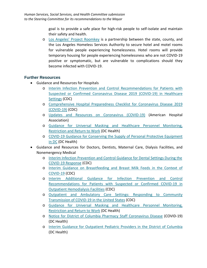goal is to provide a safe place for high-risk people to self-isolate and maintain their safety and health.

o [Los Angeles' Project Roomkey](https://covid19.lacounty.gov/project-roomkey/) is a partnership between the state, county, and the Los Angeles Homeless Services Authority to secure hotel and motel rooms for vulnerable people experiencing homelessness. Hotel rooms will provide temporary housing for people experiencing homelessness who are not COVID-19 positive or symptomatic, but are vulnerable to complications should they become infected with COVID-19.

# **Further Resources**

- Guidance and Resources for Hospitals
	- o [Interim Infection Prevention and Control Recommendations for Patients with](https://www.cdc.gov/coronavirus/2019-ncov/hcp/infection-control-recommendations.html)  [Suspected or Confirmed Coronavirus Disease 2019 \(COVID-19\) in Healthcare](https://www.cdc.gov/coronavirus/2019-ncov/hcp/infection-control-recommendations.html)  [Settings](https://www.cdc.gov/coronavirus/2019-ncov/hcp/infection-control-recommendations.html) (CDC)
	- o [Comprehensive Hospital Preparedness Checklist for Coronavirus Disease 2019](https://www.cdc.gov/coronavirus/2019-ncov/hcp/hcp-hospital-checklist.html)  [\(COVID-19\)](https://www.cdc.gov/coronavirus/2019-ncov/hcp/hcp-hospital-checklist.html) (CDC)
	- o [Updates and Resources on Coronavirus \(COVID-19\)](https://www.aha.org/2020-01-22-updates-and-resources-novel-coronavirus-2019-cov) (American Hospital Association)
	- o [Guidance for Universal Masking and Healthcare Personnel Monitoring,](https://dchealth.dc.gov/sites/default/files/dc/sites/doh/publication/attachments/COVID-19_DC_Health_Guidance_Universal_Masking_and_Healthcare_Personnel_Monitoring_Restriction_and_Return_to_Work.pdf)  [Restriction and Return to Work](https://dchealth.dc.gov/sites/default/files/dc/sites/doh/publication/attachments/COVID-19_DC_Health_Guidance_Universal_Masking_and_Healthcare_Personnel_Monitoring_Restriction_and_Return_to_Work.pdf) (DC Health)
	- o [COVID-19 Guidance for Conserving the Supply of Personal Protective Equipment](https://dchealth.dc.gov/sites/default/files/dc/sites/doh/publication/attachments/COVID-19_DC_Health_Guidance_for_Conservation_of_Personal_Protective_Equipment.pdf)  [in DC](https://dchealth.dc.gov/sites/default/files/dc/sites/doh/publication/attachments/COVID-19_DC_Health_Guidance_for_Conservation_of_Personal_Protective_Equipment.pdf) (DC Health)
- Guidance and Resources for Doctors, Dentists, Maternal Care, Dialysis Facilities, and Nonemergency Medical
	- o [Interim Infection Prevention and Control Guidance for Dental Settings During the](https://www.cdc.gov/coronavirus/2019-ncov/hcp/dental-settings.html)  [COVID-19 Response](https://www.cdc.gov/coronavirus/2019-ncov/hcp/dental-settings.html) (CDC)
	- o [Interim Guidance on Breastfeeding and Breast Milk Feeds in the Context of](https://www.cdc.gov/coronavirus/2019-ncov/hcp/care-for-breastfeeding-women.html)  [COVID-19](https://www.cdc.gov/coronavirus/2019-ncov/hcp/care-for-breastfeeding-women.html) (CDC)
	- o [Interim Additional Guidance for Infection Prevention and Control](https://www.cdc.gov/coronavirus/2019-ncov/hcp/dialysis.html)  [Recommendations for Patients with Suspected or Confirmed COVID-19 in](https://www.cdc.gov/coronavirus/2019-ncov/hcp/dialysis.html)  [Outpatient Hemodialysis Facilities](https://www.cdc.gov/coronavirus/2019-ncov/hcp/dialysis.html) (CDC)
	- o [Outpatient and Ambulatory Care Settings: Responding to Community](https://www.cdc.gov/coronavirus/2019-ncov/hcp/ambulatory-care-settings.html)  [Transmission of COVID-19 in the United States](https://www.cdc.gov/coronavirus/2019-ncov/hcp/ambulatory-care-settings.html) (CDC)
	- o [Guidance for Universal Masking and Healthcare Personnel Monitoring,](https://dchealth.dc.gov/sites/default/files/dc/sites/doh/publication/attachments/COVID-19_DC_Health_Guidance_Universal_Masking_and_Healthcare_Personnel_Monitoring_Restriction_and_Return_to_Work.pdf)  [Restriction and Return to Work](https://dchealth.dc.gov/sites/default/files/dc/sites/doh/publication/attachments/COVID-19_DC_Health_Guidance_Universal_Masking_and_Healthcare_Personnel_Monitoring_Restriction_and_Return_to_Work.pdf) (DC Health)
	- o [Notice for District of Columbia Pharmacy Staff Coronavirus Disease](https://dchealth.dc.gov/sites/default/files/dc/sites/doh/page_content/attachments/04102020_DCHealth_Pharmacy-Guidance-Document.pdf) (COVID-19) (DC Health)
	- o [Interim Guidance for Outpatient Pediatric Providers in the District of Columbia](https://dchealth.dc.gov/sites/default/files/dc/sites/doh/publication/attachments/DC_Health_COVID-19_Interim_Guidance_for_Outpatient_Pediatric_Providers_1.pdf) (DC Health)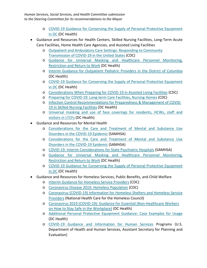- o [COVID-19 Guidance for Conserving the Supply of Personal Protective Equipment](https://dchealth.dc.gov/sites/default/files/dc/sites/doh/publication/attachments/COVID-19_DC_Health_Guidance_for_Conservation_of_Personal_Protective_Equipment.pdf)  [in DC](https://dchealth.dc.gov/sites/default/files/dc/sites/doh/publication/attachments/COVID-19_DC_Health_Guidance_for_Conservation_of_Personal_Protective_Equipment.pdf) (DC Health)
- Guidance and Resources for Health Centers, Skilled Nursing Facilities, Long-Term Acute Care Facilities, Home Health Care Agencies, and Assisted Living Facilities
	- o [Outpatient and Ambulatory Care Settings: Responding to Community](https://www.cdc.gov/coronavirus/2019-ncov/hcp/ambulatory-care-settings.html)  [Transmission of COVID-19 in the United States](https://www.cdc.gov/coronavirus/2019-ncov/hcp/ambulatory-care-settings.html) (CDC)
	- o [Guidance for Universal Masking and Healthcare Personnel Monitoring,](https://dchealth.dc.gov/sites/default/files/dc/sites/doh/publication/attachments/COVID-19_DC_Health_Guidance_Universal_Masking_and_Healthcare_Personnel_Monitoring_Restriction_and_Return_to_Work.pdf)  [Restriction and Return to Work](https://dchealth.dc.gov/sites/default/files/dc/sites/doh/publication/attachments/COVID-19_DC_Health_Guidance_Universal_Masking_and_Healthcare_Personnel_Monitoring_Restriction_and_Return_to_Work.pdf) (DC Health)
	- o [Interim Guidance for Outpatient Pediatric Providers in the District of Columbia](https://dchealth.dc.gov/sites/default/files/dc/sites/doh/publication/attachments/DC_Health_COVID-19_Interim_Guidance_for_Outpatient_Pediatric_Providers_1.pdf) (DC Health)
	- o [COVID-19 Guidance for Conserving the Supply of Personal Protective Equipment](https://dchealth.dc.gov/sites/default/files/dc/sites/doh/publication/attachments/COVID-19_DC_Health_Guidance_for_Conservation_of_Personal_Protective_Equipment.pdf)  [in DC](https://dchealth.dc.gov/sites/default/files/dc/sites/doh/publication/attachments/COVID-19_DC_Health_Guidance_for_Conservation_of_Personal_Protective_Equipment.pdf) (DC Health)
	- o [Considerations When Preparing for COVID-19 in Assisted Living Facilities](https://www.cdc.gov/coronavirus/2019-ncov/hcp/assisted-living.html) (CDC)
	- o [Preparing for COVID-19: Long-term Care Facilities, Nursing Homes](https://www.cdc.gov/coronavirus/2019-ncov/hcp/long-term-care.html) (CDC)
	- o [Infection Control Recommendations for Preparedness & Management of COVID-](https://dchealth.dc.gov/sites/default/files/dc/sites/doh/publication/attachments/COVID-19_SNF_Infection_Control_Letter_2020.03.13.pdf)[19 in Skilled Nursing Facilities](https://dchealth.dc.gov/sites/default/files/dc/sites/doh/publication/attachments/COVID-19_SNF_Infection_Control_Letter_2020.03.13.pdf) (DC Health)
	- o [Universal masking and use of face coverings for residents, HCWs, staff and](https://dchealth.dc.gov/sites/default/files/dc/sites/doh/publication/attachments/DC_Health_COVID-19_LTCF_Coverings_and_Masks_2020.04.14.pdf)  [visitors in LTCFs](https://dchealth.dc.gov/sites/default/files/dc/sites/doh/publication/attachments/DC_Health_COVID-19_LTCF_Coverings_and_Masks_2020.04.14.pdf) (DC Health)
- Guidance and Resources for Mental Health
	- o [Considerations for the Care and Treatment of Mental and Substance Use](https://www.samhsa.gov/sites/default/files/considerations-care-treatment-mental-substance-use-disorders-covid19.pdf)  [Disorders in the COVID-19 Epidemic](https://www.samhsa.gov/sites/default/files/considerations-care-treatment-mental-substance-use-disorders-covid19.pdf) (SAMHSA)
	- o Considerations for the Care [and Treatment of Mental and Substance Use](https://www.samhsa.gov/sites/default/files/considerations-outpatient-mental-substance-use-disorder-treatment-settings.pdf)  [Disorders in the COVID-19 Epidemic](https://www.samhsa.gov/sites/default/files/considerations-outpatient-mental-substance-use-disorder-treatment-settings.pdf) (SAMHSA)
	- o [COVID-19: Interim Considerations for State Psychiatric Hospitals](https://www.samhsa.gov/sites/default/files/covid19-interim-considerations-for-state-psychiatric-hospitals.pdf) (SAMHSA)
	- o [Guidance for Universal Masking and Healthcare Personnel Monitoring,](https://dchealth.dc.gov/sites/default/files/dc/sites/doh/publication/attachments/COVID-19_DC_Health_Guidance_Universal_Masking_and_Healthcare_Personnel_Monitoring_Restriction_and_Return_to_Work.pdf)  [Restriction and Return to Work](https://dchealth.dc.gov/sites/default/files/dc/sites/doh/publication/attachments/COVID-19_DC_Health_Guidance_Universal_Masking_and_Healthcare_Personnel_Monitoring_Restriction_and_Return_to_Work.pdf) (DC Health)
	- o [COVID-19 Guidance for Conserving the Supply of Personal Protective Equipment](https://dchealth.dc.gov/sites/default/files/dc/sites/doh/publication/attachments/COVID-19_DC_Health_Guidance_for_Conservation_of_Personal_Protective_Equipment.pdf)  [in DC](https://dchealth.dc.gov/sites/default/files/dc/sites/doh/publication/attachments/COVID-19_DC_Health_Guidance_for_Conservation_of_Personal_Protective_Equipment.pdf) (DC Health)
- Guidance and Resources for Homeless Services, Public Benefits, and Child Welfare
	- o [Interim Guidance for Homeless Service Providers](https://www.cdc.gov/coronavirus/2019-ncov/community/homeless-shelters/plan-prepare-respond.html) (CDC)
	- o [Coronavirus Disease 2019: Homeless Population](https://www.cdc.gov/coronavirus/2019-ncov/community/homeless-shelters/index.html) (CDC)
	- o [Coronavirus \(COVID-19\) Information for Homeless Shelters and Homeless Service](https://nhchc.org/wp-content/uploads/2020/03/NHCHS-COVID-Guidelines-Rev.pdf)  [Providers](https://nhchc.org/wp-content/uploads/2020/03/NHCHS-COVID-Guidelines-Rev.pdf) (National Health Care for the Homeless Council)
	- o [Coronavirus 2019 \(COVID-19\): Guidance for Essential \(Non-Healthcare Workers](https://dchealth.dc.gov/sites/default/files/dc/sites/doh/publication/attachments/DC_Health_Guidance_for_Essential_Non-Healthcare_Workers_on_How_to_Stay_Safe_in_the_Workplace_0.pdf)  [on How to Stay Safe in the Workplace\)](https://dchealth.dc.gov/sites/default/files/dc/sites/doh/publication/attachments/DC_Health_Guidance_for_Essential_Non-Healthcare_Workers_on_How_to_Stay_Safe_in_the_Workplace_0.pdf) (DC Health)
	- o [Additional Personal Protective Equipment Guidance: Case Examples for Usage](https://dchealth.dc.gov/sites/default/files/u65602/03.30.20_COVID-19%20PPE_CompanionDoc_Final.pdf) (DC Health)
	- o [COVID-19 Guidance and Information for Human Services](https://aspe.hhs.gov/coronavirus) Programs (U.S. Department of Health and Human Services, Assistant Secretary for Planning and Evaluation)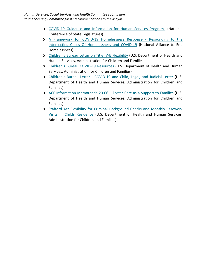- o [COVID-19 Guidance and Information for Human Services Programs](https://www.ncsl.org/research/human-services/child-welfare-system-covid-19-resources.aspx) (National Conference of State Legislatures)
- o [A Framework for COVID-19 Homelessness Response -](https://endhomelessness.org/wp-content/uploads/2020/04/COVID-Framework-4.29.2020-1.pdf) Responding to the [Intersecting Crises Of Homelessness and COVID-19](https://endhomelessness.org/wp-content/uploads/2020/04/COVID-Framework-4.29.2020-1.pdf) (National Alliance to End Homelessness)
- o [Children's Bureau Letter on Title IV-E Flexibility](https://www.acf.hhs.gov/sites/default/files/cb/flexibility_letter.pdf) (U.S. Department of Health and Human Services, Administration for Children and Families)
- o [Children's Bureau COVID-19 Resources](https://www.acf.hhs.gov/cb/resource/covid-19-resources) (U.S. Department of Health and Human Services, Administration for Children and Families)
- o Children's Bureau Letter [COVID-19 and Child, Legal, and Judicial Letter](https://www.acf.hhs.gov/sites/default/files/cb/covid_19_childlegalandjudicial.pdf?ct=t(EMAIL_CAMPAIGN_2_7_2018_COPY_01)&mc_cid=0560689fd4&mc_eid=32f34410f0) (U.S. Department of Health and Human Services, Administration for Children and Families)
- o [ACF Information Memoranda 20-06 –](https://www.acf.hhs.gov/cb/resource/im2006) Foster Care as a Support to Families (U.S. Department of Health and Human Services, Administration for Children and Families)
- o [Stafford Act Flexibility for Criminal Background Checks and Monthly Casework](https://www.acf.hhs.gov/sites/default/files/cb/stafford_act.pdf)  Visits in Childs Residence [\(U.S. Department of Health and Human Services,](https://www.acf.hhs.gov/sites/default/files/cb/stafford_act.pdf)  [Administration for Children and Families\)](https://www.acf.hhs.gov/sites/default/files/cb/stafford_act.pdf)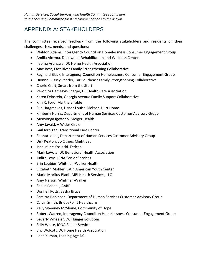# APPENDIX A: STAKEHOLDERS

The committee received feedback from the following stakeholders and residents on their challenges, risks, needs, and questions:

- Waldon Adams, Interagency Council on Homelessness Consumer Engagement Group
- Amilia Alcema, Deanwood Rehabilitation and Wellness Center
- Ijeoma Arungwa, DC Home Health Association
- Mae Best, East River Family Strengthening Collaborative
- Reginald Black, Interagency Council on Homelessness Consumer Engagement Group
- Dionne Bussey Reeder, Far Southeast Family Strengthening Collaborative
- Cherie Craft, Smart from the Start
- Veronica Damesyn-Sharpe, DC Health Care Association
- Karen Feinstein, Georgia Avenue Family Support Collaborative
- Kim R. Ford, Martha's Table
- Sue Hargreaves, Lisner-Louise-Dickson-Hurt Home
- Kimberly Harris, Department of Human Services Customer Advisory Group
- Menyonga Igwacho, Meiger Health
- Amy Javaid, A Wider Circle
- Gail Jernigan, Transitional Care Center
- Shonta Jones, Department of Human Services Customer Advisory Group
- Dirk Keaton, So Others Might Eat
- Jacqueline Kosloski, Fedcap
- Mark LeVota, DC Behavioral Health Association
- Judith Levy, IONA Senior Services
- Erin Loubier, Whitman-Walker Health
- Elizabeth Mohler, Latin American Youth Center
- Marie Morilus-Black, MBI Health Services, LLC
- Amy Nelson, Whitman-Walker
- Sheila Pannell, AARP
- Donnell Potts, Sasha Bruce
- Samirra Robinson, Department of Human Services Customer Advisory Group
- Calvin Smith, BridgePoint Healthcare
- Kelly Sweeney McShane, Community of Hope
- Robert Warren, Interagency Council on Homelessness Consumer Engagement Group
- Beverly Wheeler, DC Hunger Solutions
- Sally White, IONA Senior Services
- Eric Wolcott, DC Home Health Association
- Ilana Xuman, Leading Age DC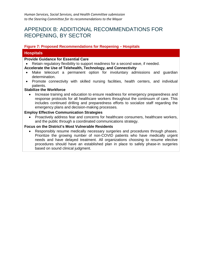# APPENDIX B: ADDITIONAL RECOMMENDATIONS FOR REOPENING, BY SECTOR

# **Figure 7: Proposed Recommendations for Reopening – Hospitals**

# **Hospitals**

#### **Provide Guidance for Essential Care**

Retain regulatory flexibility to support readiness for a second wave, if needed.

#### **Accelerate the Use of Telehealth, Technology, and Connectivity**

- Make telecourt a permanent option for involuntary admissions and guardian determination.
- Promote connectivity with skilled nursing facilities, health centers, and individual patients.

#### **Stabilize the Workforce**

• Increase training and education to ensure readiness for emergency preparedness and response protocols for all healthcare workers throughout the continuum of care. This includes continued drilling and preparedness efforts to socialize staff regarding the emergency plans and decision-making processes.

#### **Employ Effective Communication Strategies**

• Proactively address fear and concerns for healthcare consumers, healthcare workers, and the public through a coordinated communications strategy.

#### **Focus on the District's Most Vulnerable Residents**

• Responsibly resume medically necessary surgeries and procedures through phases. Prioritize the growing number of non-COVID patients who have medically urgent needs and have delayed treatment. All organizations choosing to resume elective procedures should have an established plan in place to safely phase-in surgeries based on sound clinical judgment.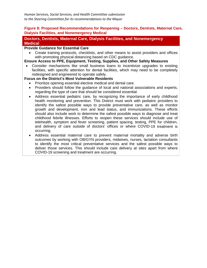#### **Figure 8: Proposed Recommendations for Reopening – Doctors, Dentists, Maternal Care, Dialysis Facilities, and Nonemergency Medical**

### **Doctors, Dentists, Maternal Care, Dialysis Facilities, and Nonemergency Medical**

#### **Provide Guidance for Essential Care**

• Create training protocols, checklists, and other means to assist providers and offices with promoting physical distancing based on CDC guidance.

#### **Ensure Access to PPE, Equipment, Testing, Supplies, and Other Safety Measures**

• Consider mechanisms like small business loans to incentivize upgrades to existing facilities, with specific attention for dental facilities, which may need to be completely redesigned and engineered to operate safely.

### **Focus on the District's Most Vulnerable Residents**

- Prioritize opening essential elective medical and dental care.
- Providers should follow the guidance of local and national associations and experts, regarding the type of care that should be considered essential.
- Address essential pediatric care, by recognizing the importance of early childhood health monitoring and prevention. This District must work with pediatric providers to identify the safest possible ways to provide preventative care, as well as monitor growth and development, iron and lead status, and immunizations. These efforts should also include work to determine the safest possible ways to diagnose and treat childhood febrile illnesses. Efforts to reopen these services should include use of telehealth, symptom and fever screening, patient spacing, testing, PPE for children, and delivery of care outside of doctors' offices or where COVID-19 treatment is occurring.
- Address essential maternal care to prevent maternal mortality and adverse birth outcomes by working with OB/GYN providers, midwives, nurses, lactation consultants to identify the most critical preventative services and the safest possible ways to deliver those services. This should include care delivery at sites apart from where COVID-19 screening and treatment are occurring.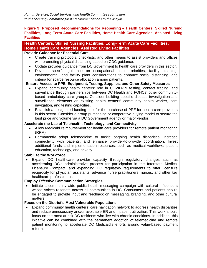### **Figure 9: Proposed Recommendations for Reopening – Health Centers, Skilled Nursing Facilities, Long-Term Acute Care Facilities, Home Health Care Agencies, Assisted Living Facilities**

# **Health Centers, Skilled Nursing Facilities, Long-Term Acute Care Facilities, Home Health Care Agencies, Assisted Living Facilities**

#### **Provide Guidance for Essential Care**

- Create training protocols, checklists, and other means to assist providers and offices with promoting physical distancing based on CDC guidance.
- Update provider guidance from DC Government to health care providers in this sector.
- Develop specific guidance on occupational health priorities, facility cleaning, environmental, and facility plant considerations to enhance social distancing, and criteria for scarce resource allocation among patients.

### **Ensure Access to PPE, Equipment, Testing, Supplies, and Other Safety Measures**

- Expand community health centers' role in COVID-19 testing, contact tracing, and surveillance through partnerships between DC Health and FQHCs' other communitybased ambulatory care groups. Consider building specific disease investigation and surveillance elements on existing health centers' community health worker, care navigation, and testing capacities.
- Establish a designated funding pool for the purchase of PPE for health care providers in this sector. Consider a group purchasing or cooperative buying model to secure the best price and volume via a DC Government agency or major vendor.

#### **Accelerate the Use of Telehealth, Technology, and Connectivity**

- Allow Medicaid reimbursement for health care providers for remote patient monitoring (RPM).
- Permanently adopt telemedicine to tackle ongoing health disparities, increase connectivity with patients, and enhance provider-to-provide coordination. Invest additional funds and implementation resources, such as medical workflows, patient education, technology, and privacy.

#### **Stabilize the Workforce**

• Expand DC healthcare provider capacity through regulatory changes such as accelerating DC's administrative process for participation in the Interstate Medical Licensure Compact, and expanding DC regulatory requirements to offer licensure reciprocity for physician assistants, advance nurse practitioners, nurses, and other key healthcare professionals.

### **Employ Effective Communication Strategies**

• Initiate a community-wide public health messaging campaign with cultural influencers whose voices resonate across all communities in DC. Consumers and patients should be engaged to provide input and feedback on messaging, branding, and other cultural matters.

#### **Focus on the District's Most Vulnerable Populations**

• Expand community health centers' care navigation network to address health disparities and reduce unnecessary and/or avoidable ER and inpatient utilization. This work should focus on the most at-risk DC residents who live with chronic conditions. In addition, this initiative can be combined with the permanent adoption of telemedicine and remote patient monitoring to accelerate DC Medicaid's efforts around value-based payment reform.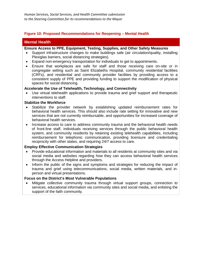### **Figure 10: Proposed Recommendations for Reopening – Mental Health**

### **Mental Health**

#### **Ensure Access to PPE, Equipment, Testing, Supplies, and Other Safety Measures**

- Support infrastructure changes to make buildings safe (air circulation/quality, installing Plexiglas barriers, social distancing strategies).
- Expand non-emergency transportation for individuals to get to appointments.
- Ensure that workplaces are safe for staff and those receiving care on-site or in congregate setting such as Saint Elizabeths Hospital, community residential facilities (CRFs), and residential and community provider facilities by providing access to a consistent supply of PPE and providing funding to support the modification of physical spaces for social distancing.

#### **Accelerate the Use of Telehealth, Technology, and Connectivity**

Use virtual telehealth applications to provide trauma and grief support and therapeutic interventions to staff.

#### **Stabilize the Workforce**

- Stabilize the provider network by establishing updated reimbursement rates for behavioral health services. This should also include rate setting for innovative and new services that are not currently reimbursable, and opportunities for increased coverage of behavioral health services.
- Increase access to care to address community trauma and the behavioral health needs of front-line staff, individuals receiving services through the public behavioral health system, and community residents by retaining existing telehealth capabilities, including reimbursement for telephonic communication, providing licensure and credentialing reciprocity with other states, and requiring 24/7 access to care.

#### **Employ Effective Communication Strategies**

- Provide educational information and materials to all residents at community sites and via social media and websites regarding how they can access behavioral health services through the Access Helpline and providers.
- Inform the public of the signs and symptoms and strategies for reducing the impact of trauma and grief using telecommunications, social media, written materials, and inperson and virtual presentations.

#### **Focus on the District's Most Vulnerable Populations**

• Mitigate collective community trauma through virtual support groups, connection to services, educational information via community sites and social media, and enlisting the support of the faith community.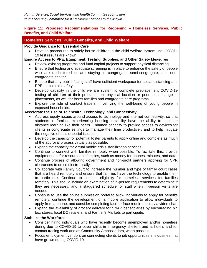#### **Figure 11: Proposed Recommendations for Reopening – Homeless Services, Public Benefits, and Child Welfare**

### **Homeless Services, Public Benefits, and Child Welfare**

#### **Provide Guidance for Essential Care**

• Develop procedures to safely house children in the child welfare system until COVID-19 test results are known.

### **Ensure Access to PPE, Equipment, Testing, Supplies, and Other Safety Measures**

- Review existing programs and fund capital projects to support physical distancing.
- Ensure that testing and adequate screening is in place to enhance the safety of people who are unsheltered or are staying in congregate, semi-congregate, and noncongregate shelter.
- Ensure that any public-facing staff have sufficient workspace for social distancing and PPE to maintain safety.
- Develop capacity in the child welfare system to complete preplacement COVID-19 testing of children at their preplacement physical location or prior to a change in placements, as well for foster families and congregate care programs.
- Explore the role of contact tracers in verifying the well-being of young people in exposed households.

### **Accelerate the Use of Telehealth, Technology, and Connectivity**

- Address equity issues around access to technology and internet connectivity, so that students in families experiencing housing instability have the ability to continue distance learning like their peers. Enhance capacity to provide access to devices for clients in congregate settings to manage their time productively and to help mitigate the negative effects of social isolation.
- Develop the capacity for potential foster parents to apply online and complete as much of the approval process virtually as possible.
- Expand the capacity for virtual mobile crisis stabilization services.
- Continue to connect with families remotely when possible. To facilitate this, provide equipment and/or resources to families, such as money for phones, minutes, and data.
- Continue process of allowing government and non-profit partners applying for CPR clearances to do so electronically.
- Collaborate with Family Court to increase the number and type of family court cases that are heard remotely and ensure that families have the technology to enable them to participate. Continue to conduct eligibility for homeless services for families remotely. This should include an examination of in-person requirements to determine if they are necessary, and a staggered schedule for staff when in-person visits are needed.
- Continue to use the online submission portal to allow individuals to apply for benefits remotely, continue the development of a mobile application to allow individuals to apply from a phone, and consider completing face-to-face requirements via video chat.
- Expand the availability of grocery delivery for SNAP beneficiaries by encouraging big box stores, local DC retailers, and Farmer's Markets to participate.

#### **Stabilize the Workforce**

- Consider hiring individuals who have recently become unemployed and/or homeless during due to COVID-19 to cover shifts in emergency shelters and at hotels and for contact tracing work and as Community Ambassadors, when possible.
- Focus employment vendors on connecting clients to job opportunities in industries that have grown during COVID-19.